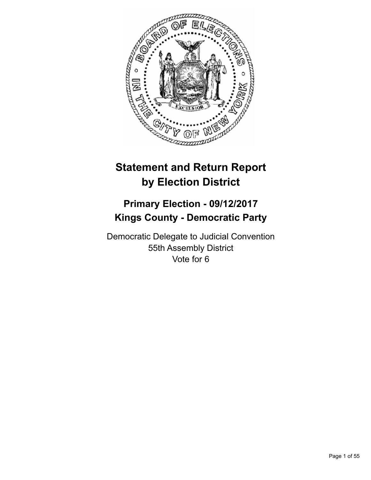

# **Statement and Return Report by Election District**

# **Primary Election - 09/12/2017 Kings County - Democratic Party**

Democratic Delegate to Judicial Convention 55th Assembly District Vote for 6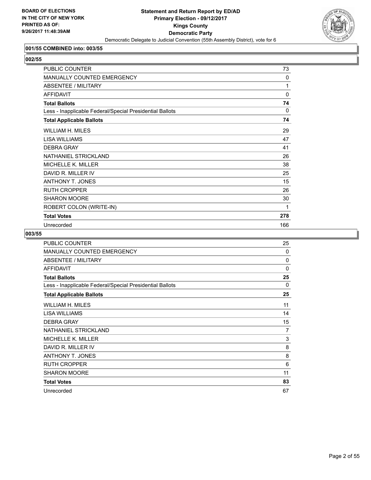

# **001/55 COMBINED into: 003/55**

**002/55** 

| PUBLIC COUNTER                                           | 73       |
|----------------------------------------------------------|----------|
| MANUALLY COUNTED EMERGENCY                               | $\Omega$ |
| <b>ABSENTEE / MILITARY</b>                               | 1        |
| <b>AFFIDAVIT</b>                                         | $\Omega$ |
| <b>Total Ballots</b>                                     | 74       |
| Less - Inapplicable Federal/Special Presidential Ballots | 0        |
| <b>Total Applicable Ballots</b>                          | 74       |
| WILLIAM H. MILES                                         | 29       |
| <b>LISA WILLIAMS</b>                                     | 47       |
| <b>DEBRA GRAY</b>                                        | 41       |
| NATHANIEL STRICKLAND                                     | 26       |
| <b>MICHELLE K. MILLER</b>                                | 38       |
| DAVID R. MILLER IV                                       | 25       |
| <b>ANTHONY T. JONES</b>                                  | 15       |
| <b>RUTH CROPPER</b>                                      | 26       |
| <b>SHARON MOORE</b>                                      | 30       |
| ROBERT COLON (WRITE-IN)                                  | 1        |
| <b>Total Votes</b>                                       | 278      |
| Unrecorded                                               | 166      |

| <b>PUBLIC COUNTER</b>                                    | 25       |
|----------------------------------------------------------|----------|
| MANUALLY COUNTED EMERGENCY                               | 0        |
| ABSENTEE / MILITARY                                      | 0        |
| <b>AFFIDAVIT</b>                                         | 0        |
| <b>Total Ballots</b>                                     | 25       |
| Less - Inapplicable Federal/Special Presidential Ballots | $\Omega$ |
| <b>Total Applicable Ballots</b>                          | 25       |
| <b>WILLIAM H. MILES</b>                                  | 11       |
| LISA WILLIAMS                                            | 14       |
| <b>DEBRA GRAY</b>                                        | 15       |
| NATHANIEL STRICKLAND                                     | 7        |
| <b>MICHELLE K. MILLER</b>                                | 3        |
| DAVID R. MILLER IV                                       | 8        |
| <b>ANTHONY T. JONES</b>                                  | 8        |
| <b>RUTH CROPPER</b>                                      | 6        |
| <b>SHARON MOORE</b>                                      | 11       |
| <b>Total Votes</b>                                       | 83       |
| Unrecorded                                               | 67       |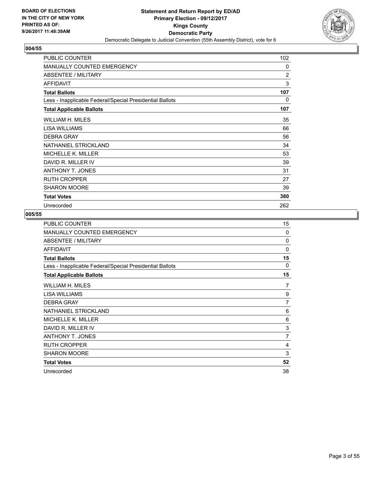

| PUBLIC COUNTER                                           | 102 |
|----------------------------------------------------------|-----|
| <b>MANUALLY COUNTED EMERGENCY</b>                        | 0   |
| <b>ABSENTEE / MILITARY</b>                               | 2   |
| <b>AFFIDAVIT</b>                                         | 3   |
| <b>Total Ballots</b>                                     | 107 |
| Less - Inapplicable Federal/Special Presidential Ballots | 0   |
| <b>Total Applicable Ballots</b>                          | 107 |
| WILLIAM H. MILES                                         | 35  |
| LISA WILLIAMS                                            | 66  |
| <b>DEBRA GRAY</b>                                        | 56  |
| NATHANIEL STRICKLAND                                     | 34  |
| MICHELLE K. MILLER                                       | 53  |
| DAVID R. MILLER IV                                       | 39  |
| <b>ANTHONY T. JONES</b>                                  | 31  |
| <b>RUTH CROPPER</b>                                      | 27  |
| <b>SHARON MOORE</b>                                      | 39  |
| <b>Total Votes</b>                                       | 380 |
| Unrecorded                                               | 262 |

| PUBLIC COUNTER                                           | 15             |
|----------------------------------------------------------|----------------|
| MANUALLY COUNTED EMERGENCY                               | $\Omega$       |
| ABSENTEE / MILITARY                                      | 0              |
| <b>AFFIDAVIT</b>                                         | $\Omega$       |
| <b>Total Ballots</b>                                     | 15             |
| Less - Inapplicable Federal/Special Presidential Ballots | 0              |
| <b>Total Applicable Ballots</b>                          | 15             |
| WILLIAM H. MILES                                         | 7              |
| <b>LISA WILLIAMS</b>                                     | 9              |
| <b>DEBRA GRAY</b>                                        | 7              |
| NATHANIEL STRICKLAND                                     | 6              |
| MICHELLE K. MILLER                                       | 6              |
| DAVID R. MILLER IV                                       | 3              |
| ANTHONY T. JONES                                         | $\overline{7}$ |
| <b>RUTH CROPPER</b>                                      | 4              |
| SHARON MOORE                                             | 3              |
| <b>Total Votes</b>                                       | 52             |
| Unrecorded                                               | 38             |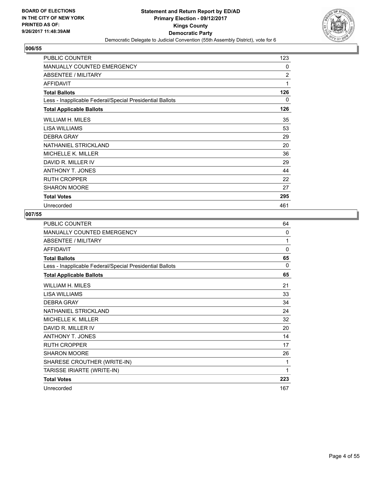

| PUBLIC COUNTER                                           | 123            |
|----------------------------------------------------------|----------------|
| <b>MANUALLY COUNTED EMERGENCY</b>                        | 0              |
| ABSENTEE / MILITARY                                      | $\overline{2}$ |
| <b>AFFIDAVIT</b>                                         | 1              |
| <b>Total Ballots</b>                                     | 126            |
| Less - Inapplicable Federal/Special Presidential Ballots | 0              |
| <b>Total Applicable Ballots</b>                          | 126            |
| WILLIAM H. MILES                                         | 35             |
| LISA WILLIAMS                                            | 53             |
| <b>DEBRA GRAY</b>                                        | 29             |
| NATHANIEL STRICKLAND                                     | 20             |
| <b>MICHELLE K. MILLER</b>                                | 36             |
| DAVID R. MILLER IV                                       | 29             |
| <b>ANTHONY T. JONES</b>                                  | 44             |
| <b>RUTH CROPPER</b>                                      | 22             |
| <b>SHARON MOORE</b>                                      | 27             |
| <b>Total Votes</b>                                       | 295            |
| Unrecorded                                               | 461            |

| PUBLIC COUNTER                                           | 64  |
|----------------------------------------------------------|-----|
| MANUALLY COUNTED EMERGENCY                               | 0   |
| <b>ABSENTEE / MILITARY</b>                               | 1   |
| <b>AFFIDAVIT</b>                                         | 0   |
| <b>Total Ballots</b>                                     | 65  |
| Less - Inapplicable Federal/Special Presidential Ballots | 0   |
| <b>Total Applicable Ballots</b>                          | 65  |
| WILLIAM H. MILES                                         | 21  |
| <b>LISA WILLIAMS</b>                                     | 33  |
| <b>DEBRA GRAY</b>                                        | 34  |
| NATHANIEL STRICKLAND                                     | 24  |
| MICHELLE K. MILLER                                       | 32  |
| DAVID R. MILLER IV                                       | 20  |
| <b>ANTHONY T. JONES</b>                                  | 14  |
| <b>RUTH CROPPER</b>                                      | 17  |
| <b>SHARON MOORE</b>                                      | 26  |
| SHARESE CROUTHER (WRITE-IN)                              | 1   |
| TARISSE IRIARTE (WRITE-IN)                               | 1   |
| <b>Total Votes</b>                                       | 223 |
| Unrecorded                                               | 167 |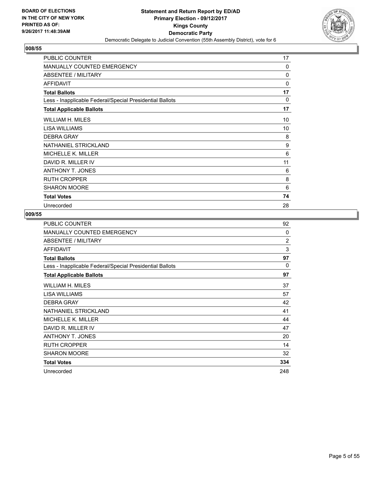

| PUBLIC COUNTER                                           | 17       |
|----------------------------------------------------------|----------|
| MANUALLY COUNTED EMERGENCY                               | 0        |
| <b>ABSENTEE / MILITARY</b>                               | 0        |
| <b>AFFIDAVIT</b>                                         | 0        |
| <b>Total Ballots</b>                                     | 17       |
| Less - Inapplicable Federal/Special Presidential Ballots | $\Omega$ |
| <b>Total Applicable Ballots</b>                          | 17       |
| WILLIAM H. MILES                                         | 10       |
| LISA WILLIAMS                                            | 10       |
| <b>DEBRA GRAY</b>                                        | 8        |
| NATHANIEL STRICKLAND                                     | 9        |
| <b>MICHELLE K. MILLER</b>                                | 6        |
| DAVID R. MILLER IV                                       | 11       |
| <b>ANTHONY T. JONES</b>                                  | 6        |
| <b>RUTH CROPPER</b>                                      | 8        |
| <b>SHARON MOORE</b>                                      | 6        |
| <b>Total Votes</b>                                       | 74       |
| Unrecorded                                               | 28       |

| PUBLIC COUNTER                                           | 92             |
|----------------------------------------------------------|----------------|
| MANUALLY COUNTED EMERGENCY                               | $\Omega$       |
| ABSENTEE / MILITARY                                      | $\overline{2}$ |
| <b>AFFIDAVIT</b>                                         | 3              |
| <b>Total Ballots</b>                                     | 97             |
| Less - Inapplicable Federal/Special Presidential Ballots | $\Omega$       |
| <b>Total Applicable Ballots</b>                          | 97             |
| WILLIAM H. MILES                                         | 37             |
| <b>LISA WILLIAMS</b>                                     | 57             |
| <b>DEBRA GRAY</b>                                        | 42             |
| NATHANIEL STRICKLAND                                     | 41             |
| <b>MICHELLE K. MILLER</b>                                | 44             |
| DAVID R. MILLER IV                                       | 47             |
| <b>ANTHONY T. JONES</b>                                  | 20             |
| <b>RUTH CROPPER</b>                                      | 14             |
| SHARON MOORE                                             | 32             |
| <b>Total Votes</b>                                       | 334            |
| Unrecorded                                               | 248            |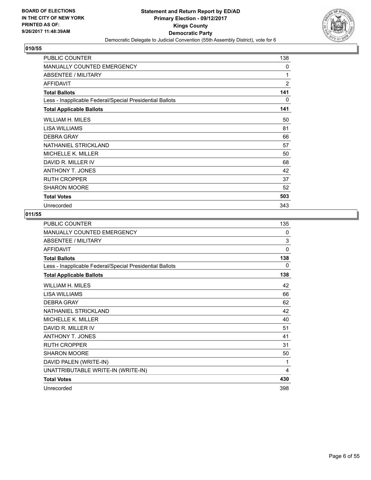

| PUBLIC COUNTER                                           | 138            |
|----------------------------------------------------------|----------------|
| <b>MANUALLY COUNTED EMERGENCY</b>                        | 0              |
| <b>ABSENTEE / MILITARY</b>                               | 1              |
| <b>AFFIDAVIT</b>                                         | $\overline{2}$ |
| <b>Total Ballots</b>                                     | 141            |
| Less - Inapplicable Federal/Special Presidential Ballots | 0              |
| <b>Total Applicable Ballots</b>                          | 141            |
| WILLIAM H. MILES                                         | 50             |
| LISA WILLIAMS                                            | 81             |
| <b>DEBRA GRAY</b>                                        | 66             |
| NATHANIEL STRICKLAND                                     | 57             |
| <b>MICHELLE K. MILLER</b>                                | 50             |
| DAVID R. MILLER IV                                       | 68             |
| <b>ANTHONY T. JONES</b>                                  | 42             |
| <b>RUTH CROPPER</b>                                      | 37             |
| <b>SHARON MOORE</b>                                      | 52             |
| <b>Total Votes</b>                                       | 503            |
| Unrecorded                                               | 343            |

| PUBLIC COUNTER                                           | 135 |
|----------------------------------------------------------|-----|
| MANUALLY COUNTED EMERGENCY                               | 0   |
| <b>ABSENTEE / MILITARY</b>                               | 3   |
| <b>AFFIDAVIT</b>                                         | 0   |
| <b>Total Ballots</b>                                     | 138 |
| Less - Inapplicable Federal/Special Presidential Ballots | 0   |
| <b>Total Applicable Ballots</b>                          | 138 |
| WILLIAM H. MILES                                         | 42  |
| LISA WILLIAMS                                            | 66  |
| <b>DEBRA GRAY</b>                                        | 62  |
| NATHANIEL STRICKLAND                                     | 42  |
| MICHELLE K. MILLER                                       | 40  |
| DAVID R. MILLER IV                                       | 51  |
| <b>ANTHONY T. JONES</b>                                  | 41  |
| <b>RUTH CROPPER</b>                                      | 31  |
| <b>SHARON MOORE</b>                                      | 50  |
| DAVID PALEN (WRITE-IN)                                   | 1   |
| UNATTRIBUTABLE WRITE-IN (WRITE-IN)                       | 4   |
| <b>Total Votes</b>                                       | 430 |
| Unrecorded                                               | 398 |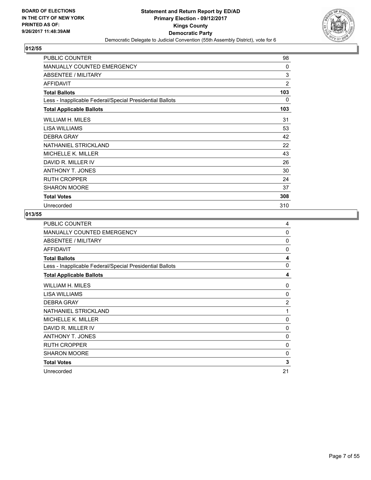

| <b>PUBLIC COUNTER</b>                                    | 98       |
|----------------------------------------------------------|----------|
| <b>MANUALLY COUNTED EMERGENCY</b>                        | $\Omega$ |
| <b>ABSENTEE / MILITARY</b>                               | 3        |
| <b>AFFIDAVIT</b>                                         | 2        |
| <b>Total Ballots</b>                                     | 103      |
| Less - Inapplicable Federal/Special Presidential Ballots | 0        |
| <b>Total Applicable Ballots</b>                          | 103      |
| <b>WILLIAM H. MILES</b>                                  | 31       |
| LISA WILLIAMS                                            | 53       |
| <b>DEBRA GRAY</b>                                        | 42       |
| NATHANIEL STRICKLAND                                     | 22       |
| MICHELLE K. MILLER                                       | 43       |
| DAVID R. MILLER IV                                       | 26       |
| <b>ANTHONY T. JONES</b>                                  | 30       |
| <b>RUTH CROPPER</b>                                      | 24       |
| <b>SHARON MOORE</b>                                      | 37       |
| <b>Total Votes</b>                                       | 308      |
| Unrecorded                                               | 310      |

| PUBLIC COUNTER                                           | 4                       |
|----------------------------------------------------------|-------------------------|
| MANUALLY COUNTED EMERGENCY                               | 0                       |
| ABSENTEE / MILITARY                                      | 0                       |
| <b>AFFIDAVIT</b>                                         | $\Omega$                |
| <b>Total Ballots</b>                                     | $\overline{\mathbf{4}}$ |
| Less - Inapplicable Federal/Special Presidential Ballots | 0                       |
| <b>Total Applicable Ballots</b>                          | 4                       |
| WILLIAM H. MILES                                         | 0                       |
| <b>LISA WILLIAMS</b>                                     | $\Omega$                |
| <b>DEBRA GRAY</b>                                        | $\overline{2}$          |
| NATHANIEL STRICKLAND                                     | 1                       |
| <b>MICHELLE K. MILLER</b>                                | $\Omega$                |
| DAVID R. MILLER IV                                       | 0                       |
| <b>ANTHONY T. JONES</b>                                  | 0                       |
| <b>RUTH CROPPER</b>                                      | 0                       |
| <b>SHARON MOORE</b>                                      | 0                       |
| <b>Total Votes</b>                                       | 3                       |
| Unrecorded                                               | 21                      |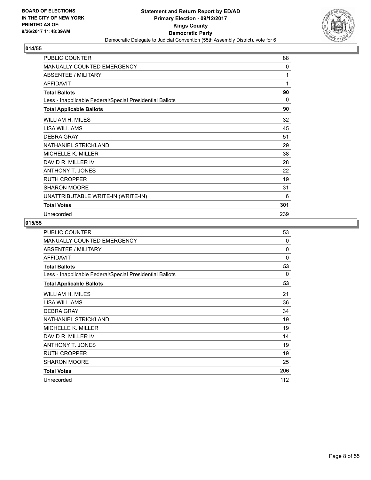

| PUBLIC COUNTER                                           | 88       |
|----------------------------------------------------------|----------|
| <b>MANUALLY COUNTED EMERGENCY</b>                        | 0        |
| ABSENTEE / MILITARY                                      | 1        |
| <b>AFFIDAVIT</b>                                         | 1        |
| <b>Total Ballots</b>                                     | 90       |
| Less - Inapplicable Federal/Special Presidential Ballots | $\Omega$ |
| <b>Total Applicable Ballots</b>                          | 90       |
| WILLIAM H. MILES                                         | 32       |
| <b>LISA WILLIAMS</b>                                     | 45       |
| <b>DEBRA GRAY</b>                                        | 51       |
| NATHANIEL STRICKLAND                                     | 29       |
| MICHELLE K. MILLER                                       | 38       |
| DAVID R. MILLER IV                                       | 28       |
| ANTHONY T. JONES                                         | 22       |
| <b>RUTH CROPPER</b>                                      | 19       |
| <b>SHARON MOORE</b>                                      | 31       |
| UNATTRIBUTABLE WRITE-IN (WRITE-IN)                       | 6        |
| <b>Total Votes</b>                                       | 301      |
| Unrecorded                                               | 239      |

| <b>PUBLIC COUNTER</b>                                    | 53       |
|----------------------------------------------------------|----------|
| <b>MANUALLY COUNTED EMERGENCY</b>                        | $\Omega$ |
| <b>ABSENTEE / MILITARY</b>                               | $\Omega$ |
| <b>AFFIDAVIT</b>                                         | $\Omega$ |
| <b>Total Ballots</b>                                     | 53       |
| Less - Inapplicable Federal/Special Presidential Ballots | $\Omega$ |
| <b>Total Applicable Ballots</b>                          | 53       |
| WILLIAM H. MILES                                         | 21       |
| LISA WILLIAMS                                            | 36       |
| <b>DEBRA GRAY</b>                                        | 34       |
| NATHANIEL STRICKLAND                                     | 19       |
| MICHELLE K. MILLER                                       | 19       |
| DAVID R. MILLER IV                                       | 14       |
| <b>ANTHONY T. JONES</b>                                  | 19       |
| <b>RUTH CROPPER</b>                                      | 19       |
| <b>SHARON MOORE</b>                                      | 25       |
| <b>Total Votes</b>                                       | 206      |
| Unrecorded                                               | 112      |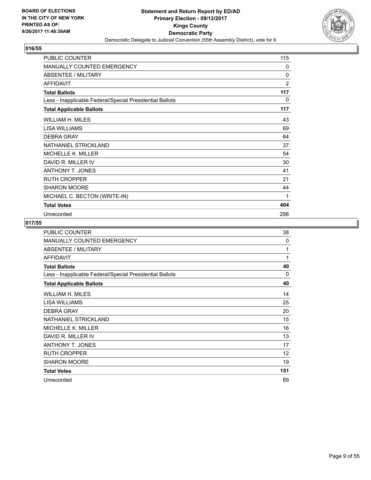

| PUBLIC COUNTER                                           | 115      |
|----------------------------------------------------------|----------|
| MANUALLY COUNTED EMERGENCY                               | 0        |
| <b>ABSENTEE / MILITARY</b>                               | $\Omega$ |
| <b>AFFIDAVIT</b>                                         | 2        |
| <b>Total Ballots</b>                                     | 117      |
| Less - Inapplicable Federal/Special Presidential Ballots | 0        |
| <b>Total Applicable Ballots</b>                          | 117      |
| WILLIAM H. MILES                                         | 43       |
| <b>LISA WILLIAMS</b>                                     | 69       |
| <b>DEBRA GRAY</b>                                        | 64       |
| NATHANIEL STRICKLAND                                     | 37       |
| <b>MICHELLE K. MILLER</b>                                | 54       |
| DAVID R. MILLER IV                                       | 30       |
| <b>ANTHONY T. JONES</b>                                  | 41       |
| <b>RUTH CROPPER</b>                                      | 21       |
| SHARON MOORE                                             | 44       |
| MICHAEL C. BECTON (WRITE-IN)                             | 1        |
| <b>Total Votes</b>                                       | 404      |
| Unrecorded                                               | 298      |

| <b>PUBLIC COUNTER</b>                                    | 38       |
|----------------------------------------------------------|----------|
| MANUALLY COUNTED EMERGENCY                               | $\Omega$ |
| <b>ABSENTEE / MILITARY</b>                               | 1        |
| <b>AFFIDAVIT</b>                                         | 1        |
| <b>Total Ballots</b>                                     | 40       |
| Less - Inapplicable Federal/Special Presidential Ballots | $\Omega$ |
| <b>Total Applicable Ballots</b>                          | 40       |
| WILLIAM H. MILES                                         | 14       |
| LISA WILLIAMS                                            | 25       |
| <b>DEBRA GRAY</b>                                        | 20       |
| NATHANIEL STRICKLAND                                     | 15       |
| MICHELLE K. MILLER                                       | 16       |
| DAVID R. MILLER IV                                       | 13       |
| ANTHONY T. JONES                                         | 17       |
| <b>RUTH CROPPER</b>                                      | 12       |
| SHARON MOORE                                             | 19       |
| <b>Total Votes</b>                                       | 151      |
| Unrecorded                                               | 89       |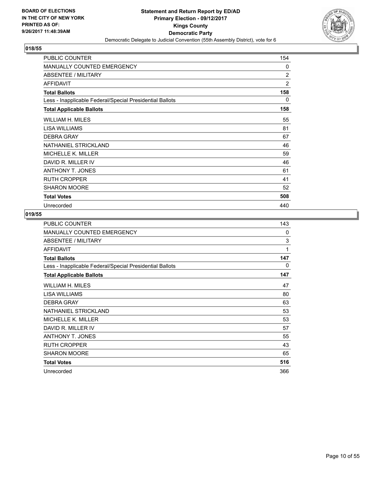

| <b>PUBLIC COUNTER</b>                                    | 154 |
|----------------------------------------------------------|-----|
| <b>MANUALLY COUNTED EMERGENCY</b>                        | 0   |
| ABSENTEE / MILITARY                                      | 2   |
| <b>AFFIDAVIT</b>                                         | 2   |
| <b>Total Ballots</b>                                     | 158 |
| Less - Inapplicable Federal/Special Presidential Ballots | 0   |
| <b>Total Applicable Ballots</b>                          | 158 |
| WILLIAM H. MILES                                         | 55  |
| LISA WILLIAMS                                            | 81  |
| <b>DEBRA GRAY</b>                                        | 67  |
| NATHANIEL STRICKLAND                                     | 46  |
| <b>MICHELLE K. MILLER</b>                                | 59  |
| DAVID R. MILLER IV                                       | 46  |
| <b>ANTHONY T. JONES</b>                                  | 61  |
| <b>RUTH CROPPER</b>                                      | 41  |
| <b>SHARON MOORE</b>                                      | 52  |
| <b>Total Votes</b>                                       | 508 |
| Unrecorded                                               | 440 |

| PUBLIC COUNTER                                           | 143          |
|----------------------------------------------------------|--------------|
| MANUALLY COUNTED EMERGENCY                               | $\mathbf{0}$ |
| <b>ABSENTEE / MILITARY</b>                               | 3            |
| <b>AFFIDAVIT</b>                                         | 1            |
| <b>Total Ballots</b>                                     | 147          |
| Less - Inapplicable Federal/Special Presidential Ballots | 0            |
| <b>Total Applicable Ballots</b>                          | 147          |
| WILLIAM H. MILES                                         | 47           |
| LISA WILLIAMS                                            | 80           |
| <b>DEBRA GRAY</b>                                        | 63           |
| NATHANIEL STRICKLAND                                     | 53           |
| MICHELLE K. MILLER                                       | 53           |
| DAVID R. MILLER IV                                       | 57           |
| ANTHONY T. JONES                                         | 55           |
| <b>RUTH CROPPER</b>                                      | 43           |
| <b>SHARON MOORE</b>                                      | 65           |
| <b>Total Votes</b>                                       | 516          |
| Unrecorded                                               | 366          |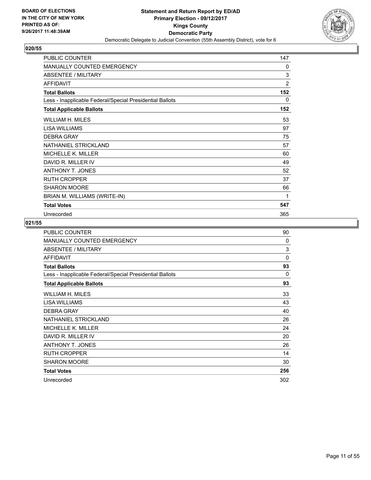

| <b>PUBLIC COUNTER</b>                                    | 147            |
|----------------------------------------------------------|----------------|
| <b>MANUALLY COUNTED EMERGENCY</b>                        | $\mathbf{0}$   |
| <b>ABSENTEE / MILITARY</b>                               | 3              |
| <b>AFFIDAVIT</b>                                         | $\overline{2}$ |
| <b>Total Ballots</b>                                     | 152            |
| Less - Inapplicable Federal/Special Presidential Ballots | 0              |
| <b>Total Applicable Ballots</b>                          | 152            |
| WILLIAM H. MILES                                         | 53             |
| <b>LISA WILLIAMS</b>                                     | 97             |
| <b>DEBRA GRAY</b>                                        | 75             |
| NATHANIEL STRICKLAND                                     | 57             |
| <b>MICHELLE K. MILLER</b>                                | 60             |
| DAVID R. MILLER IV                                       | 49             |
| <b>ANTHONY T. JONES</b>                                  | 52             |
| <b>RUTH CROPPER</b>                                      | 37             |
| <b>SHARON MOORE</b>                                      | 66             |
| BRIAN M. WILLIAMS (WRITE-IN)                             | 1              |
| <b>Total Votes</b>                                       | 547            |
| Unrecorded                                               | 365            |

| <b>PUBLIC COUNTER</b>                                    | 90       |
|----------------------------------------------------------|----------|
| <b>MANUALLY COUNTED EMERGENCY</b>                        | $\Omega$ |
| <b>ABSENTEE / MILITARY</b>                               | 3        |
| <b>AFFIDAVIT</b>                                         | $\Omega$ |
| <b>Total Ballots</b>                                     | 93       |
| Less - Inapplicable Federal/Special Presidential Ballots | $\Omega$ |
| <b>Total Applicable Ballots</b>                          | 93       |
| WILLIAM H. MILES                                         | 33       |
| LISA WILLIAMS                                            | 43       |
| <b>DEBRA GRAY</b>                                        | 40       |
| NATHANIEL STRICKLAND                                     | 26       |
| <b>MICHELLE K. MILLER</b>                                | 24       |
| DAVID R. MILLER IV                                       | 20       |
| <b>ANTHONY T. JONES</b>                                  | 26       |
| <b>RUTH CROPPER</b>                                      | 14       |
| <b>SHARON MOORE</b>                                      | 30       |
| <b>Total Votes</b>                                       | 256      |
| Unrecorded                                               | 302      |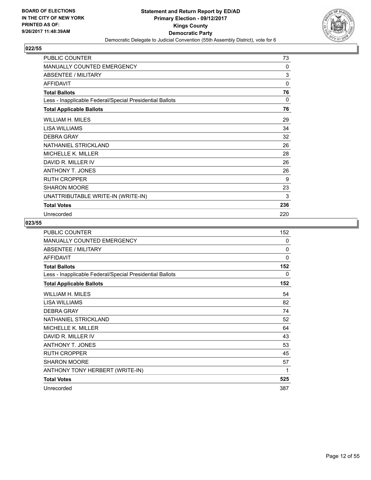

| PUBLIC COUNTER                                           | 73       |
|----------------------------------------------------------|----------|
| MANUALLY COUNTED EMERGENCY                               | 0        |
| ABSENTEE / MILITARY                                      | 3        |
| <b>AFFIDAVIT</b>                                         | 0        |
| <b>Total Ballots</b>                                     | 76       |
| Less - Inapplicable Federal/Special Presidential Ballots | $\Omega$ |
| <b>Total Applicable Ballots</b>                          | 76       |
| WILLIAM H. MILES                                         | 29       |
| <b>LISA WILLIAMS</b>                                     | 34       |
| <b>DEBRA GRAY</b>                                        | 32       |
| NATHANIEL STRICKLAND                                     | 26       |
| MICHELLE K. MILLER                                       | 28       |
| DAVID R. MILLER IV                                       | 26       |
| <b>ANTHONY T. JONES</b>                                  | 26       |
| <b>RUTH CROPPER</b>                                      | 9        |
| <b>SHARON MOORE</b>                                      | 23       |
| UNATTRIBUTABLE WRITE-IN (WRITE-IN)                       | 3        |
| <b>Total Votes</b>                                       | 236      |
| Unrecorded                                               | 220      |

| <b>PUBLIC COUNTER</b>                                    | 152      |
|----------------------------------------------------------|----------|
| MANUALLY COUNTED EMERGENCY                               | 0        |
| <b>ABSENTEE / MILITARY</b>                               | 0        |
| <b>AFFIDAVIT</b>                                         | $\Omega$ |
| <b>Total Ballots</b>                                     | 152      |
| Less - Inapplicable Federal/Special Presidential Ballots | 0        |
| <b>Total Applicable Ballots</b>                          | 152      |
| WILLIAM H. MILES                                         | 54       |
| LISA WILLIAMS                                            | 82       |
| <b>DEBRA GRAY</b>                                        | 74       |
| NATHANIEL STRICKLAND                                     | 52       |
| <b>MICHELLE K. MILLER</b>                                | 64       |
| DAVID R. MILLER IV                                       | 43       |
| <b>ANTHONY T. JONES</b>                                  | 53       |
| <b>RUTH CROPPER</b>                                      | 45       |
| <b>SHARON MOORE</b>                                      | 57       |
| ANTHONY TONY HERBERT (WRITE-IN)                          | 1        |
| <b>Total Votes</b>                                       | 525      |
| Unrecorded                                               | 387      |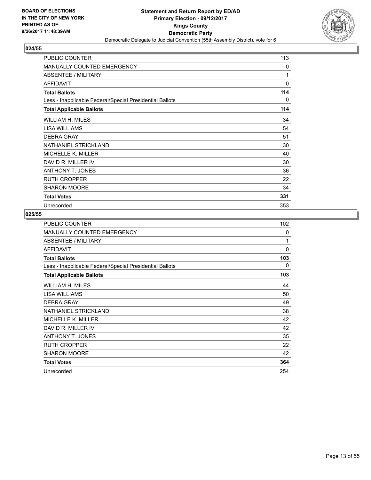

| <b>PUBLIC COUNTER</b>                                    | 113 |
|----------------------------------------------------------|-----|
| <b>MANUALLY COUNTED EMERGENCY</b>                        | 0   |
| <b>ABSENTEE / MILITARY</b>                               | 1   |
| <b>AFFIDAVIT</b>                                         | 0   |
| <b>Total Ballots</b>                                     | 114 |
| Less - Inapplicable Federal/Special Presidential Ballots | 0   |
| <b>Total Applicable Ballots</b>                          | 114 |
| WILLIAM H. MILES                                         | 34  |
| LISA WILLIAMS                                            | 54  |
| <b>DEBRA GRAY</b>                                        | 51  |
| NATHANIEL STRICKLAND                                     | 30  |
| MICHELLE K. MILLER                                       | 40  |
| DAVID R. MILLER IV                                       | 30  |
| <b>ANTHONY T. JONES</b>                                  | 36  |
| <b>RUTH CROPPER</b>                                      | 22  |
| <b>SHARON MOORE</b>                                      | 34  |
| <b>Total Votes</b>                                       | 331 |
| Unrecorded                                               | 353 |

| PUBLIC COUNTER                                           | 102          |
|----------------------------------------------------------|--------------|
| <b>MANUALLY COUNTED EMERGENCY</b>                        | $\mathbf{0}$ |
| ABSENTEE / MILITARY                                      | 1            |
| <b>AFFIDAVIT</b>                                         | $\Omega$     |
| <b>Total Ballots</b>                                     | 103          |
| Less - Inapplicable Federal/Special Presidential Ballots | 0            |
| <b>Total Applicable Ballots</b>                          | 103          |
| WILLIAM H. MILES                                         | 44           |
| <b>LISA WILLIAMS</b>                                     | 50           |
| <b>DEBRA GRAY</b>                                        | 49           |
| NATHANIEL STRICKLAND                                     | 38           |
| <b>MICHELLE K. MILLER</b>                                | 42           |
| DAVID R. MILLER IV                                       | 42           |
| ANTHONY T. JONES                                         | 35           |
| <b>RUTH CROPPER</b>                                      | 22           |
| <b>SHARON MOORE</b>                                      | 42           |
| <b>Total Votes</b>                                       | 364          |
| Unrecorded                                               | 254          |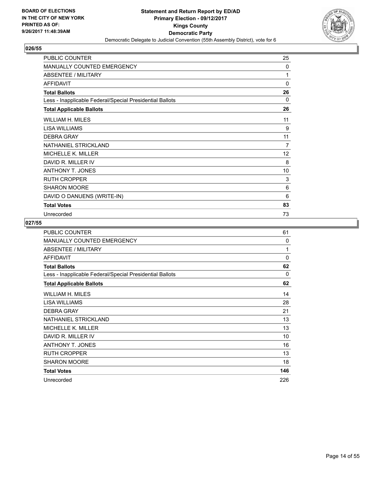

| PUBLIC COUNTER                                           | 25             |
|----------------------------------------------------------|----------------|
| MANUALLY COUNTED EMERGENCY                               | 0              |
| <b>ABSENTEE / MILITARY</b>                               | 1              |
| <b>AFFIDAVIT</b>                                         | 0              |
| <b>Total Ballots</b>                                     | 26             |
| Less - Inapplicable Federal/Special Presidential Ballots | $\Omega$       |
| <b>Total Applicable Ballots</b>                          | 26             |
| WILLIAM H. MILES                                         | 11             |
| <b>LISA WILLIAMS</b>                                     | 9              |
| <b>DEBRA GRAY</b>                                        | 11             |
| NATHANIEL STRICKLAND                                     | $\overline{7}$ |
| <b>MICHELLE K. MILLER</b>                                | 12             |
| DAVID R. MILLER IV                                       | 8              |
| <b>ANTHONY T. JONES</b>                                  | 10             |
| <b>RUTH CROPPER</b>                                      | 3              |
| SHARON MOORE                                             | 6              |
| DAVID O DANUENS (WRITE-IN)                               | 6              |
| <b>Total Votes</b>                                       | 83             |
| Unrecorded                                               | 73             |

| <b>PUBLIC COUNTER</b>                                    | 61       |
|----------------------------------------------------------|----------|
| <b>MANUALLY COUNTED EMERGENCY</b>                        | $\Omega$ |
| ABSENTEE / MILITARY                                      | 1        |
| <b>AFFIDAVIT</b>                                         | $\Omega$ |
| <b>Total Ballots</b>                                     | 62       |
| Less - Inapplicable Federal/Special Presidential Ballots | 0        |
| <b>Total Applicable Ballots</b>                          | 62       |
| WILLIAM H. MILES                                         | 14       |
| LISA WILLIAMS                                            | 28       |
| <b>DEBRA GRAY</b>                                        | 21       |
| NATHANIEL STRICKLAND                                     | 13       |
| <b>MICHELLE K. MILLER</b>                                | 13       |
| DAVID R. MILLER IV                                       | 10       |
| <b>ANTHONY T. JONES</b>                                  | 16       |
| <b>RUTH CROPPER</b>                                      | 13       |
| <b>SHARON MOORE</b>                                      | 18       |
| <b>Total Votes</b>                                       | 146      |
| Unrecorded                                               | 226      |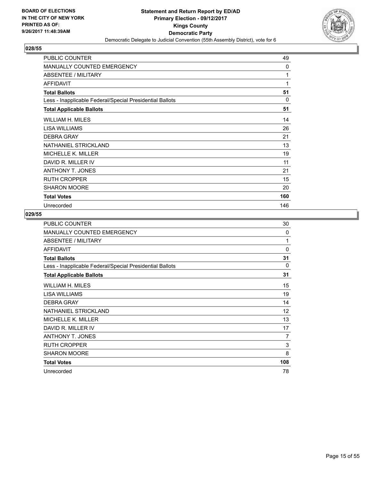

| PUBLIC COUNTER                                           | 49       |
|----------------------------------------------------------|----------|
| MANUALLY COUNTED EMERGENCY                               | 0        |
| <b>ABSENTEE / MILITARY</b>                               | 1        |
| <b>AFFIDAVIT</b>                                         | 1        |
| <b>Total Ballots</b>                                     | 51       |
| Less - Inapplicable Federal/Special Presidential Ballots | $\Omega$ |
| <b>Total Applicable Ballots</b>                          | 51       |
| WILLIAM H. MILES                                         | 14       |
| LISA WILLIAMS                                            | 26       |
| <b>DEBRA GRAY</b>                                        | 21       |
| NATHANIEL STRICKLAND                                     | 13       |
| <b>MICHELLE K. MILLER</b>                                | 19       |
| DAVID R. MILLER IV                                       | 11       |
| <b>ANTHONY T. JONES</b>                                  | 21       |
| <b>RUTH CROPPER</b>                                      | 15       |
| <b>SHARON MOORE</b>                                      | 20       |
| <b>Total Votes</b>                                       | 160      |
| Unrecorded                                               | 146      |

| <b>PUBLIC COUNTER</b>                                    | 30       |
|----------------------------------------------------------|----------|
| MANUALLY COUNTED EMERGENCY                               | $\Omega$ |
| ABSENTEE / MILITARY                                      | 1        |
| <b>AFFIDAVIT</b>                                         | $\Omega$ |
| <b>Total Ballots</b>                                     | 31       |
| Less - Inapplicable Federal/Special Presidential Ballots | 0        |
| <b>Total Applicable Ballots</b>                          | 31       |
| WILLIAM H. MILES                                         | 15       |
| <b>LISA WILLIAMS</b>                                     | 19       |
| <b>DEBRA GRAY</b>                                        | 14       |
| NATHANIEL STRICKLAND                                     | 12       |
| <b>MICHELLE K. MILLER</b>                                | 13       |
| DAVID R. MILLER IV                                       | 17       |
| ANTHONY T. JONES                                         | 7        |
| <b>RUTH CROPPER</b>                                      | 3        |
| <b>SHARON MOORE</b>                                      | 8        |
| <b>Total Votes</b>                                       | 108      |
| Unrecorded                                               | 78       |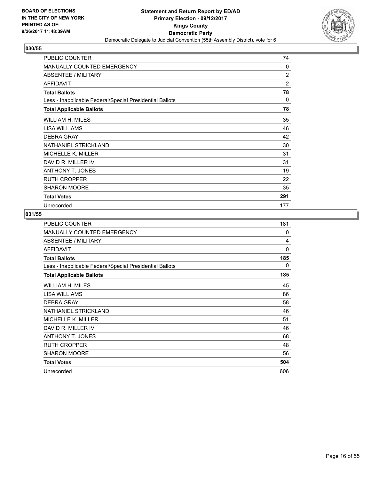

| <b>PUBLIC COUNTER</b>                                    | 74           |
|----------------------------------------------------------|--------------|
| <b>MANUALLY COUNTED EMERGENCY</b>                        | $\mathbf{0}$ |
| <b>ABSENTEE / MILITARY</b>                               | 2            |
| <b>AFFIDAVIT</b>                                         | 2            |
| <b>Total Ballots</b>                                     | 78           |
| Less - Inapplicable Federal/Special Presidential Ballots | 0            |
| <b>Total Applicable Ballots</b>                          | 78           |
| WILLIAM H. MILES                                         | 35           |
| LISA WILLIAMS                                            | 46           |
| <b>DEBRA GRAY</b>                                        | 42           |
| NATHANIEL STRICKLAND                                     | 30           |
| MICHELLE K. MILLER                                       | 31           |
| DAVID R. MILLER IV                                       | 31           |
| <b>ANTHONY T. JONES</b>                                  | 19           |
| <b>RUTH CROPPER</b>                                      | 22           |
| <b>SHARON MOORE</b>                                      | 35           |
| <b>Total Votes</b>                                       | 291          |
| Unrecorded                                               | 177          |

| PUBLIC COUNTER                                           | 181      |
|----------------------------------------------------------|----------|
| MANUALLY COUNTED EMERGENCY                               | $\Omega$ |
| ABSENTEE / MILITARY                                      | 4        |
| <b>AFFIDAVIT</b>                                         | $\Omega$ |
| <b>Total Ballots</b>                                     | 185      |
| Less - Inapplicable Federal/Special Presidential Ballots | 0        |
| <b>Total Applicable Ballots</b>                          | 185      |
| WILLIAM H. MILES                                         | 45       |
| LISA WILLIAMS                                            | 86       |
| <b>DEBRA GRAY</b>                                        | 58       |
| NATHANIEL STRICKLAND                                     | 46       |
| <b>MICHELLE K. MILLER</b>                                | 51       |
| DAVID R. MILLER IV                                       | 46       |
| ANTHONY T. JONES                                         | 68       |
| <b>RUTH CROPPER</b>                                      | 48       |
| <b>SHARON MOORE</b>                                      | 56       |
| <b>Total Votes</b>                                       | 504      |
| Unrecorded                                               | 606      |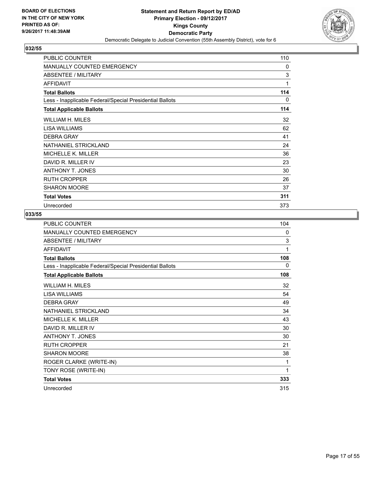

| <b>PUBLIC COUNTER</b>                                    | 110 |
|----------------------------------------------------------|-----|
| <b>MANUALLY COUNTED EMERGENCY</b>                        | 0   |
| <b>ABSENTEE / MILITARY</b>                               | 3   |
| AFFIDAVIT                                                | 1   |
| <b>Total Ballots</b>                                     | 114 |
| Less - Inapplicable Federal/Special Presidential Ballots | 0   |
| <b>Total Applicable Ballots</b>                          | 114 |
| WILLIAM H. MILES                                         | 32  |
| LISA WILLIAMS                                            | 62  |
| <b>DEBRA GRAY</b>                                        | 41  |
| NATHANIEL STRICKLAND                                     | 24  |
| <b>MICHELLE K. MILLER</b>                                | 36  |
| DAVID R. MILLER IV                                       | 23  |
| <b>ANTHONY T. JONES</b>                                  | 30  |
| <b>RUTH CROPPER</b>                                      | 26  |
| <b>SHARON MOORE</b>                                      | 37  |
| <b>Total Votes</b>                                       | 311 |
| Unrecorded                                               | 373 |

| PUBLIC COUNTER                                           | 104 |
|----------------------------------------------------------|-----|
| MANUALLY COUNTED EMERGENCY                               | 0   |
| <b>ABSENTEE / MILITARY</b>                               | 3   |
| <b>AFFIDAVIT</b>                                         | 1   |
| <b>Total Ballots</b>                                     | 108 |
| Less - Inapplicable Federal/Special Presidential Ballots | 0   |
| <b>Total Applicable Ballots</b>                          | 108 |
| WILLIAM H. MILES                                         | 32  |
| LISA WILLIAMS                                            | 54  |
| <b>DEBRA GRAY</b>                                        | 49  |
| NATHANIEL STRICKLAND                                     | 34  |
| MICHELLE K. MILLER                                       | 43  |
| DAVID R. MILLER IV                                       | 30  |
| <b>ANTHONY T. JONES</b>                                  | 30  |
| <b>RUTH CROPPER</b>                                      | 21  |
| <b>SHARON MOORE</b>                                      | 38  |
| ROGER CLARKE (WRITE-IN)                                  | 1   |
| TONY ROSE (WRITE-IN)                                     | 1   |
| <b>Total Votes</b>                                       | 333 |
| Unrecorded                                               | 315 |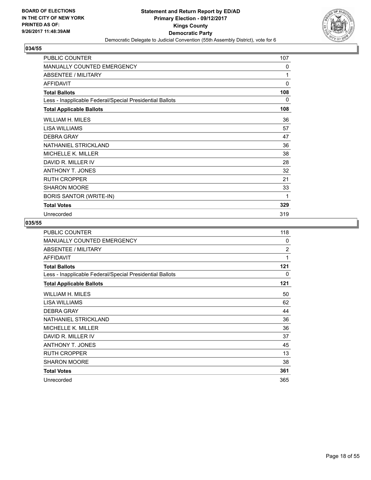

| PUBLIC COUNTER                                           | 107 |
|----------------------------------------------------------|-----|
| MANUALLY COUNTED EMERGENCY                               | 0   |
| <b>ABSENTEE / MILITARY</b>                               | 1   |
| <b>AFFIDAVIT</b>                                         | 0   |
| <b>Total Ballots</b>                                     | 108 |
| Less - Inapplicable Federal/Special Presidential Ballots | 0   |
| <b>Total Applicable Ballots</b>                          | 108 |
| WILLIAM H. MILES                                         | 36  |
| <b>LISA WILLIAMS</b>                                     | 57  |
| <b>DEBRA GRAY</b>                                        | 47  |
| NATHANIEL STRICKLAND                                     | 36  |
| MICHELLE K. MILLER                                       | 38  |
| DAVID R. MILLER IV                                       | 28  |
| <b>ANTHONY T. JONES</b>                                  | 32  |
| <b>RUTH CROPPER</b>                                      | 21  |
| <b>SHARON MOORE</b>                                      | 33  |
| <b>BORIS SANTOR (WRITE-IN)</b>                           | 1   |
| <b>Total Votes</b>                                       | 329 |
| Unrecorded                                               | 319 |

| PUBLIC COUNTER                                           | 118            |
|----------------------------------------------------------|----------------|
| <b>MANUALLY COUNTED EMERGENCY</b>                        | $\mathbf{0}$   |
| <b>ABSENTEE / MILITARY</b>                               | $\overline{2}$ |
| <b>AFFIDAVIT</b>                                         | 1              |
| <b>Total Ballots</b>                                     | 121            |
| Less - Inapplicable Federal/Special Presidential Ballots | 0              |
| <b>Total Applicable Ballots</b>                          | 121            |
| WILLIAM H. MILES                                         | 50             |
| LISA WILLIAMS                                            | 62             |
| <b>DEBRA GRAY</b>                                        | 44             |
| NATHANIEL STRICKLAND                                     | 36             |
| <b>MICHELLE K. MILLER</b>                                | 36             |
| DAVID R. MILLER IV                                       | 37             |
| ANTHONY T. JONES                                         | 45             |
| <b>RUTH CROPPER</b>                                      | 13             |
| <b>SHARON MOORE</b>                                      | 38             |
| <b>Total Votes</b>                                       | 361            |
| Unrecorded                                               | 365            |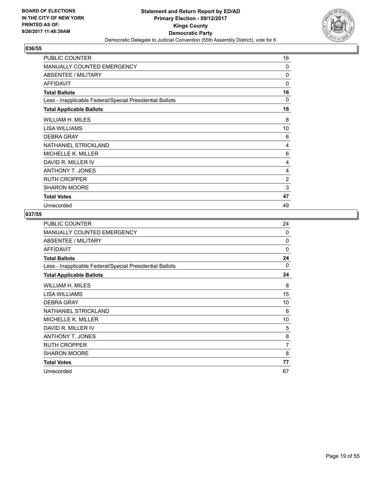

| <b>PUBLIC COUNTER</b>                                    | 16       |
|----------------------------------------------------------|----------|
| <b>MANUALLY COUNTED EMERGENCY</b>                        | $\Omega$ |
| <b>ABSENTEE / MILITARY</b>                               | 0        |
| <b>AFFIDAVIT</b>                                         | 0        |
| <b>Total Ballots</b>                                     | 16       |
| Less - Inapplicable Federal/Special Presidential Ballots | 0        |
| <b>Total Applicable Ballots</b>                          | 16       |
| WILLIAM H. MILES                                         | 8        |
| LISA WILLIAMS                                            | 10       |
| <b>DEBRA GRAY</b>                                        | 6        |
| NATHANIEL STRICKLAND                                     | 4        |
| MICHELLE K. MILLER                                       | 6        |
| DAVID R. MILLER IV                                       | 4        |
| <b>ANTHONY T. JONES</b>                                  | 4        |
| <b>RUTH CROPPER</b>                                      | 2        |
| <b>SHARON MOORE</b>                                      | 3        |
| <b>Total Votes</b>                                       | 47       |
| Unrecorded                                               | 49       |

| PUBLIC COUNTER                                           | 24             |
|----------------------------------------------------------|----------------|
| MANUALLY COUNTED EMERGENCY                               | 0              |
| ABSENTEE / MILITARY                                      | 0              |
| <b>AFFIDAVIT</b>                                         | $\Omega$       |
| <b>Total Ballots</b>                                     | 24             |
| Less - Inapplicable Federal/Special Presidential Ballots | $\Omega$       |
| <b>Total Applicable Ballots</b>                          | 24             |
| <b>WILLIAM H. MILES</b>                                  | 8              |
| LISA WILLIAMS                                            | 15             |
| <b>DEBRA GRAY</b>                                        | 10             |
| NATHANIEL STRICKLAND                                     | 6              |
| <b>MICHELLE K. MILLER</b>                                | 10             |
| DAVID R. MILLER IV                                       | 5              |
| ANTHONY T. JONES                                         | 8              |
| <b>RUTH CROPPER</b>                                      | $\overline{7}$ |
| SHARON MOORE                                             | 8              |
| <b>Total Votes</b>                                       | 77             |
| Unrecorded                                               | 67             |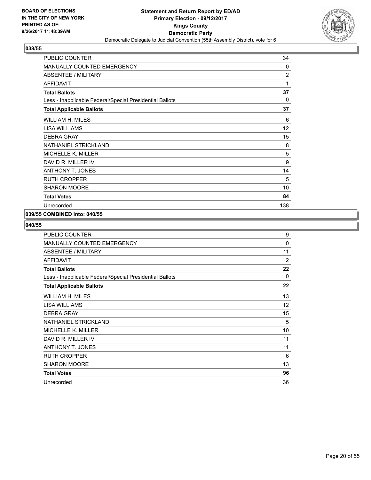

| <b>PUBLIC COUNTER</b>                                    | 34             |
|----------------------------------------------------------|----------------|
| MANUALLY COUNTED EMERGENCY                               | $\Omega$       |
| ABSENTEE / MILITARY                                      | $\overline{2}$ |
| <b>AFFIDAVIT</b>                                         | 1              |
| <b>Total Ballots</b>                                     | 37             |
| Less - Inapplicable Federal/Special Presidential Ballots | $\mathbf 0$    |
| <b>Total Applicable Ballots</b>                          | 37             |
| <b>WILLIAM H. MILES</b>                                  | 6              |
| LISA WILLIAMS                                            | 12             |
| <b>DEBRA GRAY</b>                                        | 15             |
| NATHANIEL STRICKLAND                                     | 8              |
| <b>MICHELLE K. MILLER</b>                                | 5              |
| DAVID R. MILLER IV                                       | 9              |
| <b>ANTHONY T. JONES</b>                                  | 14             |
| <b>RUTH CROPPER</b>                                      | 5              |
| <b>SHARON MOORE</b>                                      | 10             |
| <b>Total Votes</b>                                       | 84             |
| Unrecorded                                               | 138            |

# **039/55 COMBINED into: 040/55**

| <b>PUBLIC COUNTER</b>                                    | 9            |
|----------------------------------------------------------|--------------|
| <b>MANUALLY COUNTED EMERGENCY</b>                        | $\mathbf{0}$ |
| ABSENTEE / MILITARY                                      | 11           |
| <b>AFFIDAVIT</b>                                         | 2            |
| <b>Total Ballots</b>                                     | 22           |
| Less - Inapplicable Federal/Special Presidential Ballots | 0            |
| <b>Total Applicable Ballots</b>                          | 22           |
| WILLIAM H. MILES                                         | 13           |
| LISA WILLIAMS                                            | 12           |
| <b>DEBRA GRAY</b>                                        | 15           |
| NATHANIEL STRICKLAND                                     | 5            |
| MICHELLE K. MILLER                                       | 10           |
| DAVID R. MILLER IV                                       | 11           |
| <b>ANTHONY T. JONES</b>                                  | 11           |
| <b>RUTH CROPPER</b>                                      | 6            |
| <b>SHARON MOORE</b>                                      | 13           |
| <b>Total Votes</b>                                       | 96           |
| Unrecorded                                               | 36           |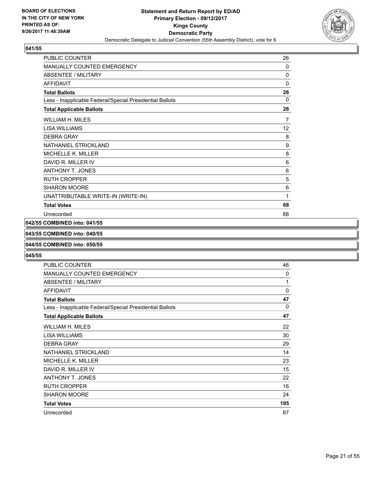

| <b>PUBLIC COUNTER</b>                                    | 26          |
|----------------------------------------------------------|-------------|
| MANUALLY COUNTED EMERGENCY                               | $\Omega$    |
| <b>ABSENTEE / MILITARY</b>                               | $\mathbf 0$ |
| <b>AFFIDAVIT</b>                                         | 0           |
| <b>Total Ballots</b>                                     | 26          |
| Less - Inapplicable Federal/Special Presidential Ballots | $\Omega$    |
| <b>Total Applicable Ballots</b>                          | 26          |
| WILLIAM H. MILES                                         | 7           |
| LISA WILLIAMS                                            | 12          |
| <b>DEBRA GRAY</b>                                        | 8           |
| NATHANIEL STRICKLAND                                     | 9           |
| <b>MICHELLE K. MILLER</b>                                | 8           |
| DAVID R. MILLER IV                                       | 6           |
| <b>ANTHONY T. JONES</b>                                  | 6           |
| <b>RUTH CROPPER</b>                                      | 5           |
| <b>SHARON MOORE</b>                                      | 6           |
| UNATTRIBUTABLE WRITE-IN (WRITE-IN)                       | 1           |
| <b>Total Votes</b>                                       | 68          |
| Unrecorded                                               | 88          |

#### **042/55 COMBINED into: 041/55**

#### **043/55 COMBINED into: 040/55**

#### **044/55 COMBINED into: 050/55**

| PUBLIC COUNTER                                           | 46  |
|----------------------------------------------------------|-----|
| MANUALLY COUNTED EMERGENCY                               | 0   |
| <b>ABSENTEE / MILITARY</b>                               | 1   |
| <b>AFFIDAVIT</b>                                         | 0   |
| <b>Total Ballots</b>                                     | 47  |
| Less - Inapplicable Federal/Special Presidential Ballots | 0   |
| <b>Total Applicable Ballots</b>                          | 47  |
| WILLIAM H. MILES                                         | 22  |
| LISA WILLIAMS                                            | 30  |
| <b>DEBRA GRAY</b>                                        | 29  |
| NATHANIEL STRICKLAND                                     | 14  |
| <b>MICHELLE K. MILLER</b>                                | 23  |
| DAVID R. MILLER IV                                       | 15  |
| <b>ANTHONY T. JONES</b>                                  | 22  |
| <b>RUTH CROPPER</b>                                      | 16  |
| <b>SHARON MOORE</b>                                      | 24  |
| <b>Total Votes</b>                                       | 195 |
| Unrecorded                                               | 87  |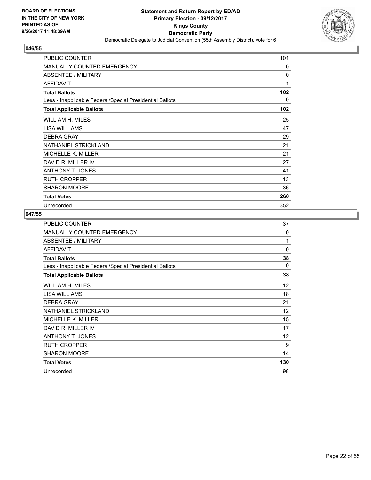

| <b>PUBLIC COUNTER</b>                                    | 101 |
|----------------------------------------------------------|-----|
| <b>MANUALLY COUNTED EMERGENCY</b>                        | 0   |
| <b>ABSENTEE / MILITARY</b>                               | 0   |
| <b>AFFIDAVIT</b>                                         | 1   |
| <b>Total Ballots</b>                                     | 102 |
| Less - Inapplicable Federal/Special Presidential Ballots | 0   |
| <b>Total Applicable Ballots</b>                          | 102 |
| WILLIAM H. MILES                                         | 25  |
| LISA WILLIAMS                                            | 47  |
| <b>DEBRA GRAY</b>                                        | 29  |
| NATHANIEL STRICKLAND                                     | 21  |
| MICHELLE K. MILLER                                       | 21  |
| DAVID R. MILLER IV                                       | 27  |
| <b>ANTHONY T. JONES</b>                                  | 41  |
| <b>RUTH CROPPER</b>                                      | 13  |
| <b>SHARON MOORE</b>                                      | 36  |
| <b>Total Votes</b>                                       | 260 |
| Unrecorded                                               | 352 |

| PUBLIC COUNTER                                           | 37  |
|----------------------------------------------------------|-----|
| <b>MANUALLY COUNTED EMERGENCY</b>                        | 0   |
| ABSENTEE / MILITARY                                      | 1   |
| <b>AFFIDAVIT</b>                                         | 0   |
| <b>Total Ballots</b>                                     | 38  |
| Less - Inapplicable Federal/Special Presidential Ballots | 0   |
| <b>Total Applicable Ballots</b>                          | 38  |
| WILLIAM H. MILES                                         | 12  |
| <b>LISA WILLIAMS</b>                                     | 18  |
| <b>DEBRA GRAY</b>                                        | 21  |
| NATHANIEL STRICKLAND                                     | 12  |
| MICHELLE K. MILLER                                       | 15  |
| DAVID R. MILLER IV                                       | 17  |
| ANTHONY T. JONES                                         | 12  |
| <b>RUTH CROPPER</b>                                      | 9   |
| <b>SHARON MOORE</b>                                      | 14  |
| <b>Total Votes</b>                                       | 130 |
| Unrecorded                                               | 98  |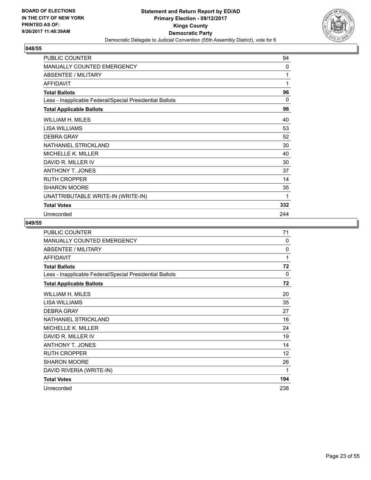

| PUBLIC COUNTER                                           | 94       |
|----------------------------------------------------------|----------|
| MANUALLY COUNTED EMERGENCY                               | 0        |
| ABSENTEE / MILITARY                                      | 1        |
| <b>AFFIDAVIT</b>                                         | 1        |
| <b>Total Ballots</b>                                     | 96       |
| Less - Inapplicable Federal/Special Presidential Ballots | $\Omega$ |
| <b>Total Applicable Ballots</b>                          | 96       |
| WILLIAM H. MILES                                         | 40       |
| <b>LISA WILLIAMS</b>                                     | 53       |
| <b>DEBRA GRAY</b>                                        | 52       |
| NATHANIEL STRICKLAND                                     | 30       |
| MICHELLE K. MILLER                                       | 40       |
| DAVID R. MILLER IV                                       | 30       |
| <b>ANTHONY T. JONES</b>                                  | 37       |
| <b>RUTH CROPPER</b>                                      | 14       |
| <b>SHARON MOORE</b>                                      | 35       |
| UNATTRIBUTABLE WRITE-IN (WRITE-IN)                       | 1        |
| <b>Total Votes</b>                                       | 332      |
| Unrecorded                                               | 244      |

| <b>PUBLIC COUNTER</b>                                    | 71       |
|----------------------------------------------------------|----------|
| <b>MANUALLY COUNTED EMERGENCY</b>                        | 0        |
| ABSENTEE / MILITARY                                      | $\Omega$ |
| <b>AFFIDAVIT</b>                                         | 1        |
| <b>Total Ballots</b>                                     | 72       |
| Less - Inapplicable Federal/Special Presidential Ballots | 0        |
| <b>Total Applicable Ballots</b>                          | 72       |
| WILLIAM H. MILES                                         | 20       |
| <b>LISA WILLIAMS</b>                                     | 35       |
| <b>DEBRA GRAY</b>                                        | 27       |
| NATHANIEL STRICKLAND                                     | 16       |
| MICHELLE K. MILLER                                       | 24       |
| DAVID R. MILLER IV                                       | 19       |
| <b>ANTHONY T. JONES</b>                                  | 14       |
| <b>RUTH CROPPER</b>                                      | 12       |
| <b>SHARON MOORE</b>                                      | 26       |
| DAVID RIVERIA (WRITE-IN)                                 | 1        |
| <b>Total Votes</b>                                       | 194      |
| Unrecorded                                               | 238      |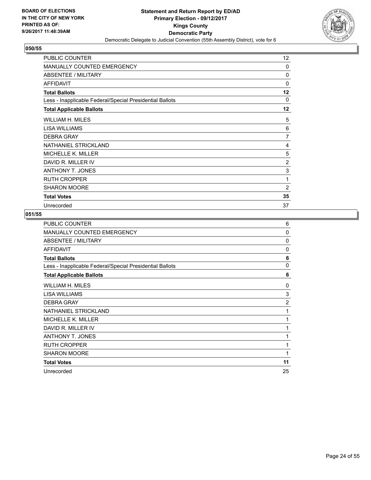

| <b>PUBLIC COUNTER</b>                                    | 12             |
|----------------------------------------------------------|----------------|
| <b>MANUALLY COUNTED EMERGENCY</b>                        | $\Omega$       |
| <b>ABSENTEE / MILITARY</b>                               | $\Omega$       |
| <b>AFFIDAVIT</b>                                         | $\Omega$       |
| <b>Total Ballots</b>                                     | $12 \,$        |
| Less - Inapplicable Federal/Special Presidential Ballots | 0              |
| <b>Total Applicable Ballots</b>                          | 12             |
| WILLIAM H. MILES                                         | 5              |
| LISA WILLIAMS                                            | 6              |
| <b>DEBRA GRAY</b>                                        | $\overline{7}$ |
| NATHANIEL STRICKLAND                                     | 4              |
| <b>MICHELLE K. MILLER</b>                                | 5              |
| DAVID R. MILLER IV                                       | 2              |
| <b>ANTHONY T. JONES</b>                                  | 3              |
| <b>RUTH CROPPER</b>                                      | 1              |
| <b>SHARON MOORE</b>                                      | 2              |
| <b>Total Votes</b>                                       | 35             |
| Unrecorded                                               | 37             |

| PUBLIC COUNTER                                           | 6              |
|----------------------------------------------------------|----------------|
| <b>MANUALLY COUNTED EMERGENCY</b>                        | $\mathbf 0$    |
| <b>ABSENTEE / MILITARY</b>                               | $\Omega$       |
| <b>AFFIDAVIT</b>                                         | $\Omega$       |
| <b>Total Ballots</b>                                     | 6              |
| Less - Inapplicable Federal/Special Presidential Ballots | 0              |
| <b>Total Applicable Ballots</b>                          | 6              |
| WILLIAM H. MILES                                         | 0              |
| <b>LISA WILLIAMS</b>                                     | 3              |
| <b>DEBRA GRAY</b>                                        | $\overline{2}$ |
| NATHANIEL STRICKLAND                                     | 1              |
| <b>MICHELLE K. MILLER</b>                                | 1              |
| DAVID R. MILLER IV                                       | 1              |
| ANTHONY T. JONES                                         | 1              |
| <b>RUTH CROPPER</b>                                      | 1              |
| <b>SHARON MOORE</b>                                      | 1              |
| <b>Total Votes</b>                                       | 11             |
| Unrecorded                                               | 25             |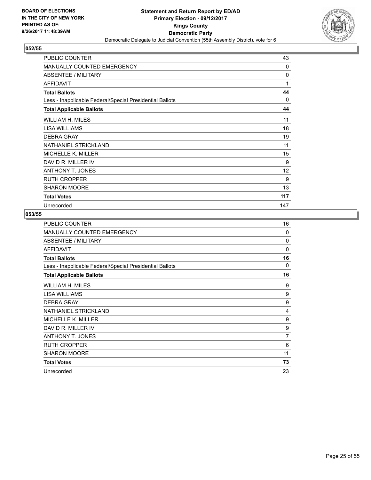

| <b>PUBLIC COUNTER</b>                                    | 43  |
|----------------------------------------------------------|-----|
| MANUALLY COUNTED EMERGENCY                               | 0   |
| <b>ABSENTEE / MILITARY</b>                               | 0   |
| AFFIDAVIT                                                | 1   |
| <b>Total Ballots</b>                                     | 44  |
| Less - Inapplicable Federal/Special Presidential Ballots | 0   |
| <b>Total Applicable Ballots</b>                          | 44  |
| WILLIAM H. MILES                                         | 11  |
| LISA WILLIAMS                                            | 18  |
| <b>DEBRA GRAY</b>                                        | 19  |
| NATHANIEL STRICKLAND                                     | 11  |
| <b>MICHELLE K. MILLER</b>                                | 15  |
| DAVID R. MILLER IV                                       | 9   |
| <b>ANTHONY T. JONES</b>                                  | 12  |
| <b>RUTH CROPPER</b>                                      | 9   |
| <b>SHARON MOORE</b>                                      | 13  |
| <b>Total Votes</b>                                       | 117 |
| Unrecorded                                               | 147 |

| PUBLIC COUNTER                                           | 16       |
|----------------------------------------------------------|----------|
| MANUALLY COUNTED EMERGENCY                               | $\Omega$ |
| ABSENTEE / MILITARY                                      | 0        |
| <b>AFFIDAVIT</b>                                         | $\Omega$ |
| <b>Total Ballots</b>                                     | 16       |
| Less - Inapplicable Federal/Special Presidential Ballots | 0        |
| <b>Total Applicable Ballots</b>                          | 16       |
| <b>WILLIAM H. MILES</b>                                  | 9        |
| LISA WILLIAMS                                            | 9        |
| <b>DEBRA GRAY</b>                                        | 9        |
| NATHANIEL STRICKLAND                                     | 4        |
| <b>MICHELLE K. MILLER</b>                                | 9        |
| DAVID R. MILLER IV                                       | 9        |
| ANTHONY T. JONES                                         | 7        |
| <b>RUTH CROPPER</b>                                      | 6        |
| <b>SHARON MOORE</b>                                      | 11       |
| <b>Total Votes</b>                                       | 73       |
| Unrecorded                                               | 23       |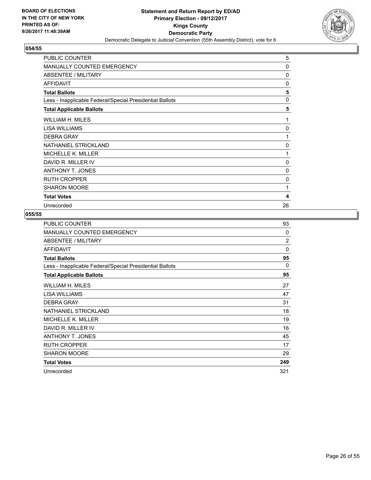

| PUBLIC COUNTER                                           | 5        |
|----------------------------------------------------------|----------|
| <b>MANUALLY COUNTED EMERGENCY</b>                        | 0        |
| <b>ABSENTEE / MILITARY</b>                               | $\Omega$ |
| <b>AFFIDAVIT</b>                                         | 0        |
| <b>Total Ballots</b>                                     | 5        |
| Less - Inapplicable Federal/Special Presidential Ballots | 0        |
| <b>Total Applicable Ballots</b>                          | 5        |
| WILLIAM H. MILES                                         | 1        |
| LISA WILLIAMS                                            | 0        |
| <b>DEBRA GRAY</b>                                        | 1        |
| NATHANIEL STRICKLAND                                     | 0        |
| <b>MICHELLE K. MILLER</b>                                | 1        |
| DAVID R. MILLER IV                                       | 0        |
| <b>ANTHONY T. JONES</b>                                  | 0        |
| <b>RUTH CROPPER</b>                                      | 0        |
| <b>SHARON MOORE</b>                                      | 1        |
| <b>Total Votes</b>                                       | 4        |
| Unrecorded                                               | 26       |

| <b>PUBLIC COUNTER</b>                                    | 93             |
|----------------------------------------------------------|----------------|
| <b>MANUALLY COUNTED EMERGENCY</b>                        | $\Omega$       |
| ABSENTEE / MILITARY                                      | $\overline{2}$ |
| <b>AFFIDAVIT</b>                                         | $\Omega$       |
| <b>Total Ballots</b>                                     | 95             |
| Less - Inapplicable Federal/Special Presidential Ballots | $\Omega$       |
| <b>Total Applicable Ballots</b>                          | 95             |
| <b>WILLIAM H. MILES</b>                                  | 27             |
| <b>LISA WILLIAMS</b>                                     | 47             |
| <b>DEBRA GRAY</b>                                        | 31             |
| NATHANIEL STRICKLAND                                     | 18             |
| <b>MICHELLE K. MILLER</b>                                | 19             |
| DAVID R. MILLER IV                                       | 16             |
| <b>ANTHONY T. JONES</b>                                  | 45             |
| <b>RUTH CROPPER</b>                                      | 17             |
| <b>SHARON MOORE</b>                                      | 29             |
| <b>Total Votes</b>                                       | 249            |
| Unrecorded                                               | 321            |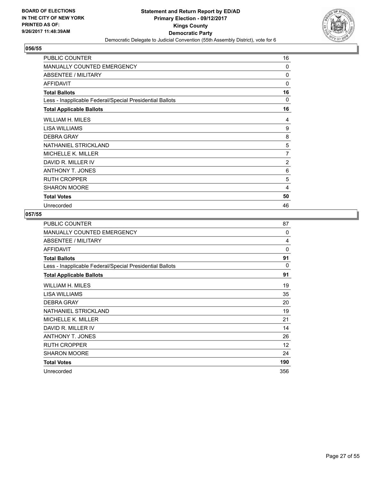

| <b>PUBLIC COUNTER</b>                                    | 16 |
|----------------------------------------------------------|----|
| MANUALLY COUNTED EMERGENCY                               | 0  |
| <b>ABSENTEE / MILITARY</b>                               | 0  |
| AFFIDAVIT                                                | 0  |
| <b>Total Ballots</b>                                     | 16 |
| Less - Inapplicable Federal/Special Presidential Ballots | 0  |
| <b>Total Applicable Ballots</b>                          | 16 |
| WILLIAM H. MILES                                         | 4  |
| LISA WILLIAMS                                            | 9  |
| <b>DEBRA GRAY</b>                                        | 8  |
| NATHANIEL STRICKLAND                                     | 5  |
| <b>MICHELLE K. MILLER</b>                                | 7  |
| DAVID R. MILLER IV                                       | 2  |
| <b>ANTHONY T. JONES</b>                                  | 6  |
| <b>RUTH CROPPER</b>                                      | 5  |
| <b>SHARON MOORE</b>                                      | 4  |
| <b>Total Votes</b>                                       | 50 |
| Unrecorded                                               | 46 |

| PUBLIC COUNTER                                           | 87       |
|----------------------------------------------------------|----------|
| <b>MANUALLY COUNTED EMERGENCY</b>                        | $\Omega$ |
| ABSENTEE / MILITARY                                      | 4        |
| <b>AFFIDAVIT</b>                                         | $\Omega$ |
| <b>Total Ballots</b>                                     | 91       |
| Less - Inapplicable Federal/Special Presidential Ballots | 0        |
| <b>Total Applicable Ballots</b>                          | 91       |
| WILLIAM H. MILES                                         | 19       |
| <b>LISA WILLIAMS</b>                                     | 35       |
| <b>DEBRA GRAY</b>                                        | 20       |
| NATHANIEL STRICKLAND                                     | 19       |
| MICHELLE K. MILLER                                       | 21       |
| DAVID R. MILLER IV                                       | 14       |
| ANTHONY T. JONES                                         | 26       |
| <b>RUTH CROPPER</b>                                      | 12       |
| <b>SHARON MOORE</b>                                      | 24       |
| <b>Total Votes</b>                                       | 190      |
| Unrecorded                                               | 356      |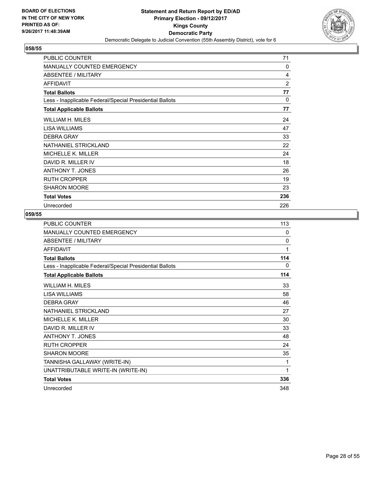

| <b>PUBLIC COUNTER</b>                                    | 71           |
|----------------------------------------------------------|--------------|
| <b>MANUALLY COUNTED EMERGENCY</b>                        | $\mathbf{0}$ |
| <b>ABSENTEE / MILITARY</b>                               | 4            |
| <b>AFFIDAVIT</b>                                         | 2            |
| <b>Total Ballots</b>                                     | 77           |
| Less - Inapplicable Federal/Special Presidential Ballots | 0            |
| <b>Total Applicable Ballots</b>                          | 77           |
| WILLIAM H. MILES                                         | 24           |
| LISA WILLIAMS                                            | 47           |
| <b>DEBRA GRAY</b>                                        | 33           |
| NATHANIEL STRICKLAND                                     | 22           |
| MICHELLE K. MILLER                                       | 24           |
| DAVID R. MILLER IV                                       | 18           |
| <b>ANTHONY T. JONES</b>                                  | 26           |
| <b>RUTH CROPPER</b>                                      | 19           |
| <b>SHARON MOORE</b>                                      | 23           |
| <b>Total Votes</b>                                       | 236          |
| Unrecorded                                               | 226          |

| PUBLIC COUNTER                                           | 113          |
|----------------------------------------------------------|--------------|
| MANUALLY COUNTED EMERGENCY                               | 0            |
| <b>ABSENTEE / MILITARY</b>                               | $\mathbf{0}$ |
| <b>AFFIDAVIT</b>                                         | 1            |
| <b>Total Ballots</b>                                     | 114          |
| Less - Inapplicable Federal/Special Presidential Ballots | 0            |
| <b>Total Applicable Ballots</b>                          | 114          |
| WILLIAM H. MILES                                         | 33           |
| <b>LISA WILLIAMS</b>                                     | 58           |
| <b>DEBRA GRAY</b>                                        | 46           |
| NATHANIEL STRICKLAND                                     | 27           |
| MICHELLE K. MILLER                                       | 30           |
| DAVID R. MILLER IV                                       | 33           |
| <b>ANTHONY T. JONES</b>                                  | 48           |
| RUTH CROPPER                                             | 24           |
| <b>SHARON MOORE</b>                                      | 35           |
| TANNISHA GALLAWAY (WRITE-IN)                             | 1            |
| UNATTRIBUTABLE WRITE-IN (WRITE-IN)                       | 1            |
| <b>Total Votes</b>                                       | 336          |
| Unrecorded                                               | 348          |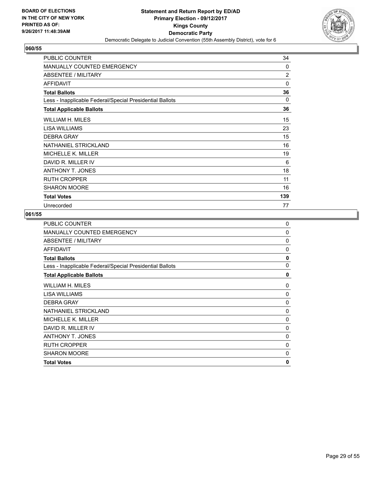

| PUBLIC COUNTER                                           | 34             |
|----------------------------------------------------------|----------------|
| MANUALLY COUNTED EMERGENCY                               | $\Omega$       |
| <b>ABSENTEE / MILITARY</b>                               | $\overline{2}$ |
| <b>AFFIDAVIT</b>                                         | 0              |
| <b>Total Ballots</b>                                     | 36             |
| Less - Inapplicable Federal/Special Presidential Ballots | 0              |
| <b>Total Applicable Ballots</b>                          | 36             |
| WILLIAM H. MILES                                         | 15             |
| LISA WILLIAMS                                            | 23             |
| <b>DEBRA GRAY</b>                                        | 15             |
| NATHANIEL STRICKLAND                                     | 16             |
| <b>MICHELLE K. MILLER</b>                                | 19             |
| DAVID R. MILLER IV                                       | 6              |
| <b>ANTHONY T. JONES</b>                                  | 18             |
| <b>RUTH CROPPER</b>                                      | 11             |
| <b>SHARON MOORE</b>                                      | 16             |
| <b>Total Votes</b>                                       | 139            |
| Unrecorded                                               | 77             |

| <b>PUBLIC COUNTER</b>                                    | 0            |
|----------------------------------------------------------|--------------|
| <b>MANUALLY COUNTED EMERGENCY</b>                        | 0            |
| ABSENTEE / MILITARY                                      | 0            |
| <b>AFFIDAVIT</b>                                         | 0            |
| <b>Total Ballots</b>                                     | 0            |
| Less - Inapplicable Federal/Special Presidential Ballots | 0            |
| <b>Total Applicable Ballots</b>                          | 0            |
| WILLIAM H. MILES                                         | 0            |
| LISA WILLIAMS                                            | 0            |
| <b>DEBRA GRAY</b>                                        | 0            |
| NATHANIEL STRICKLAND                                     | 0            |
| MICHELLE K. MILLER                                       | $\Omega$     |
| DAVID R. MILLER IV                                       | 0            |
| ANTHONY T. JONES                                         | 0            |
| <b>RUTH CROPPER</b>                                      | $\Omega$     |
| <b>SHARON MOORE</b>                                      | 0            |
| <b>Total Votes</b>                                       | $\mathbf{0}$ |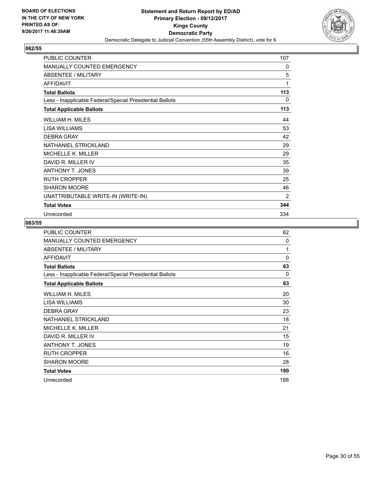

| <b>PUBLIC COUNTER</b>                                    | 107 |
|----------------------------------------------------------|-----|
| <b>MANUALLY COUNTED EMERGENCY</b>                        | 0   |
| <b>ABSENTEE / MILITARY</b>                               | 5   |
| <b>AFFIDAVIT</b>                                         | 1   |
| <b>Total Ballots</b>                                     | 113 |
| Less - Inapplicable Federal/Special Presidential Ballots | 0   |
| <b>Total Applicable Ballots</b>                          | 113 |
| WILLIAM H. MILES                                         | 44  |
| <b>LISA WILLIAMS</b>                                     | 53  |
| <b>DEBRA GRAY</b>                                        | 42  |
| NATHANIEL STRICKLAND                                     | 29  |
| MICHELLE K. MILLER                                       | 29  |
| DAVID R. MILLER IV                                       | 35  |
| <b>ANTHONY T. JONES</b>                                  | 39  |
| <b>RUTH CROPPER</b>                                      | 25  |
| <b>SHARON MOORE</b>                                      | 46  |
| UNATTRIBUTABLE WRITE-IN (WRITE-IN)                       | 2   |
| <b>Total Votes</b>                                       | 344 |
| Unrecorded                                               | 334 |

| <b>PUBLIC COUNTER</b>                                    | 62       |
|----------------------------------------------------------|----------|
| <b>MANUALLY COUNTED EMERGENCY</b>                        | 0        |
| ABSENTEE / MILITARY                                      | 1        |
| <b>AFFIDAVIT</b>                                         | $\Omega$ |
| <b>Total Ballots</b>                                     | 63       |
| Less - Inapplicable Federal/Special Presidential Ballots | 0        |
| <b>Total Applicable Ballots</b>                          | 63       |
| <b>WILLIAM H. MILES</b>                                  | 20       |
| LISA WILLIAMS                                            | 30       |
| <b>DEBRA GRAY</b>                                        | 23       |
| NATHANIEL STRICKLAND                                     | 18       |
| <b>MICHELLE K. MILLER</b>                                | 21       |
| DAVID R. MILLER IV                                       | 15       |
| <b>ANTHONY T. JONES</b>                                  | 19       |
| <b>RUTH CROPPER</b>                                      | 16       |
| <b>SHARON MOORE</b>                                      | 28       |
| <b>Total Votes</b>                                       | 190      |
| Unrecorded                                               | 188      |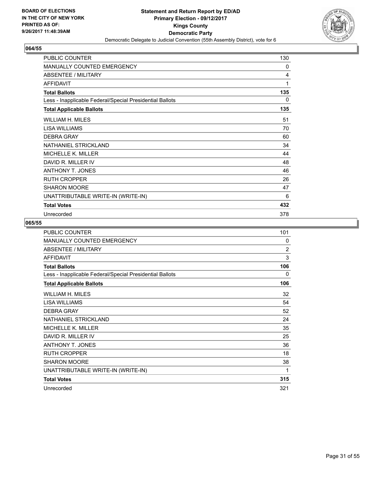

| PUBLIC COUNTER                                           | 130 |
|----------------------------------------------------------|-----|
| <b>MANUALLY COUNTED EMERGENCY</b>                        | 0   |
| <b>ABSENTEE / MILITARY</b>                               | 4   |
| <b>AFFIDAVIT</b>                                         | 1   |
| <b>Total Ballots</b>                                     | 135 |
| Less - Inapplicable Federal/Special Presidential Ballots | 0   |
| <b>Total Applicable Ballots</b>                          | 135 |
| WILLIAM H. MILES                                         | 51  |
| <b>LISA WILLIAMS</b>                                     | 70  |
| <b>DEBRA GRAY</b>                                        | 60  |
| NATHANIEL STRICKLAND                                     | 34  |
| MICHELLE K. MILLER                                       | 44  |
| DAVID R. MILLER IV                                       | 48  |
| <b>ANTHONY T. JONES</b>                                  | 46  |
| <b>RUTH CROPPER</b>                                      | 26  |
| <b>SHARON MOORE</b>                                      | 47  |
| UNATTRIBUTABLE WRITE-IN (WRITE-IN)                       | 6   |
| <b>Total Votes</b>                                       | 432 |
| Unrecorded                                               | 378 |

| PUBLIC COUNTER                                           | 101            |
|----------------------------------------------------------|----------------|
| <b>MANUALLY COUNTED EMERGENCY</b>                        | 0              |
| <b>ABSENTEE / MILITARY</b>                               | $\overline{2}$ |
| <b>AFFIDAVIT</b>                                         | 3              |
| <b>Total Ballots</b>                                     | 106            |
| Less - Inapplicable Federal/Special Presidential Ballots | 0              |
| <b>Total Applicable Ballots</b>                          | 106            |
| WILLIAM H. MILES                                         | 32             |
| LISA WILLIAMS                                            | 54             |
| <b>DEBRA GRAY</b>                                        | 52             |
| NATHANIEL STRICKLAND                                     | 24             |
| <b>MICHELLE K. MILLER</b>                                | 35             |
| DAVID R. MILLER IV                                       | 25             |
| <b>ANTHONY T. JONES</b>                                  | 36             |
| <b>RUTH CROPPER</b>                                      | 18             |
| <b>SHARON MOORE</b>                                      | 38             |
| UNATTRIBUTABLE WRITE-IN (WRITE-IN)                       | 1              |
| <b>Total Votes</b>                                       | 315            |
| Unrecorded                                               | 321            |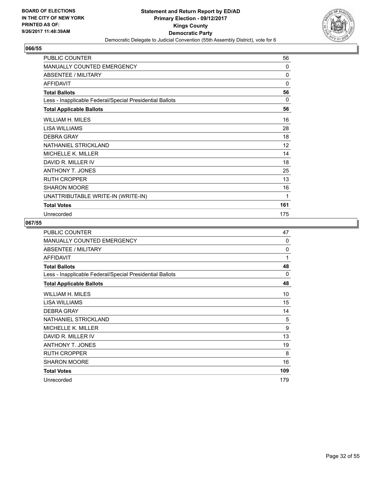

| PUBLIC COUNTER                                           | 56  |
|----------------------------------------------------------|-----|
| <b>MANUALLY COUNTED EMERGENCY</b>                        | 0   |
| <b>ABSENTEE / MILITARY</b>                               | 0   |
| <b>AFFIDAVIT</b>                                         | 0   |
| <b>Total Ballots</b>                                     | 56  |
| Less - Inapplicable Federal/Special Presidential Ballots | 0   |
| <b>Total Applicable Ballots</b>                          | 56  |
| WILLIAM H. MILES                                         | 16  |
| <b>LISA WILLIAMS</b>                                     | 28  |
| <b>DEBRA GRAY</b>                                        | 18  |
| NATHANIEL STRICKLAND                                     | 12  |
| MICHELLE K. MILLER                                       | 14  |
| DAVID R. MILLER IV                                       | 18  |
| <b>ANTHONY T. JONES</b>                                  | 25  |
| <b>RUTH CROPPER</b>                                      | 13  |
| <b>SHARON MOORE</b>                                      | 16  |
| UNATTRIBUTABLE WRITE-IN (WRITE-IN)                       | 1   |
| <b>Total Votes</b>                                       | 161 |
| Unrecorded                                               | 175 |

| <b>PUBLIC COUNTER</b>                                    | 47  |
|----------------------------------------------------------|-----|
| <b>MANUALLY COUNTED EMERGENCY</b>                        | 0   |
| ABSENTEE / MILITARY                                      | 0   |
| <b>AFFIDAVIT</b>                                         | 1   |
| <b>Total Ballots</b>                                     | 48  |
| Less - Inapplicable Federal/Special Presidential Ballots | 0   |
| <b>Total Applicable Ballots</b>                          | 48  |
| WILLIAM H. MILES                                         | 10  |
| LISA WILLIAMS                                            | 15  |
| <b>DEBRA GRAY</b>                                        | 14  |
| NATHANIEL STRICKLAND                                     | 5   |
| <b>MICHELLE K. MILLER</b>                                | 9   |
| DAVID R. MILLER IV                                       | 13  |
| <b>ANTHONY T. JONES</b>                                  | 19  |
| <b>RUTH CROPPER</b>                                      | 8   |
| <b>SHARON MOORE</b>                                      | 16  |
| <b>Total Votes</b>                                       | 109 |
| Unrecorded                                               | 179 |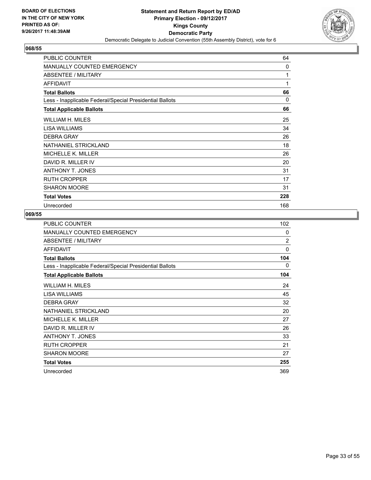

| PUBLIC COUNTER                                           | 64           |
|----------------------------------------------------------|--------------|
| <b>MANUALLY COUNTED EMERGENCY</b>                        | $\mathbf{0}$ |
| <b>ABSENTEE / MILITARY</b>                               | 1            |
| <b>AFFIDAVIT</b>                                         | 1            |
| <b>Total Ballots</b>                                     | 66           |
| Less - Inapplicable Federal/Special Presidential Ballots | 0            |
| <b>Total Applicable Ballots</b>                          | 66           |
| <b>WILLIAM H. MILES</b>                                  | 25           |
| LISA WILLIAMS                                            | 34           |
| <b>DEBRA GRAY</b>                                        | 26           |
| NATHANIEL STRICKLAND                                     | 18           |
| MICHELLE K. MILLER                                       | 26           |
| DAVID R. MILLER IV                                       | 20           |
| <b>ANTHONY T. JONES</b>                                  | 31           |
| <b>RUTH CROPPER</b>                                      | 17           |
| <b>SHARON MOORE</b>                                      | 31           |
| <b>Total Votes</b>                                       | 228          |
| Unrecorded                                               | 168          |

| PUBLIC COUNTER                                           | 102            |
|----------------------------------------------------------|----------------|
| MANUALLY COUNTED EMERGENCY                               | $\Omega$       |
| <b>ABSENTEE / MILITARY</b>                               | $\overline{2}$ |
| <b>AFFIDAVIT</b>                                         | 0              |
| <b>Total Ballots</b>                                     | 104            |
| Less - Inapplicable Federal/Special Presidential Ballots | 0              |
| <b>Total Applicable Ballots</b>                          | 104            |
| WILLIAM H. MILES                                         | 24             |
| LISA WILLIAMS                                            | 45             |
| <b>DEBRA GRAY</b>                                        | 32             |
| NATHANIEL STRICKLAND                                     | 20             |
| MICHELLE K. MILLER                                       | 27             |
| DAVID R. MILLER IV                                       | 26             |
| <b>ANTHONY T. JONES</b>                                  | 33             |
| <b>RUTH CROPPER</b>                                      | 21             |
| <b>SHARON MOORE</b>                                      | 27             |
| <b>Total Votes</b>                                       | 255            |
| Unrecorded                                               | 369            |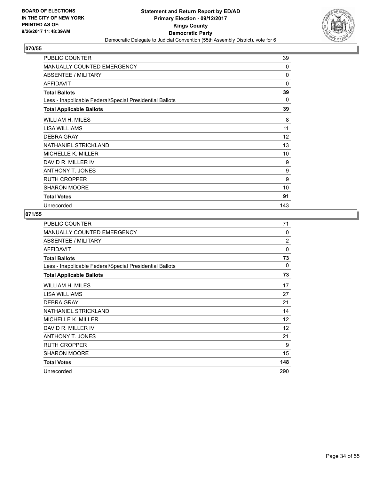

| PUBLIC COUNTER                                           | 39       |
|----------------------------------------------------------|----------|
| <b>MANUALLY COUNTED EMERGENCY</b>                        | $\Omega$ |
| <b>ABSENTEE / MILITARY</b>                               | 0        |
| <b>AFFIDAVIT</b>                                         | 0        |
| <b>Total Ballots</b>                                     | 39       |
| Less - Inapplicable Federal/Special Presidential Ballots | 0        |
| <b>Total Applicable Ballots</b>                          | 39       |
| WILLIAM H. MILES                                         | 8        |
| LISA WILLIAMS                                            | 11       |
| <b>DEBRA GRAY</b>                                        | 12       |
| NATHANIEL STRICKLAND                                     | 13       |
| MICHELLE K. MILLER                                       | 10       |
| DAVID R. MILLER IV                                       | 9        |
| <b>ANTHONY T. JONES</b>                                  | 9        |
| <b>RUTH CROPPER</b>                                      | 9        |
| <b>SHARON MOORE</b>                                      | 10       |
| <b>Total Votes</b>                                       | 91       |
| Unrecorded                                               | 143      |

| <b>PUBLIC COUNTER</b>                                    | 71             |
|----------------------------------------------------------|----------------|
| MANUALLY COUNTED EMERGENCY                               | $\mathbf{0}$   |
| ABSENTEE / MILITARY                                      | $\overline{2}$ |
| <b>AFFIDAVIT</b>                                         | $\Omega$       |
| <b>Total Ballots</b>                                     | 73             |
| Less - Inapplicable Federal/Special Presidential Ballots | 0              |
| <b>Total Applicable Ballots</b>                          | 73             |
| WILLIAM H. MILES                                         | 17             |
| LISA WILLIAMS                                            | 27             |
| <b>DEBRA GRAY</b>                                        | 21             |
| NATHANIEL STRICKLAND                                     | 14             |
| <b>MICHELLE K. MILLER</b>                                | 12             |
| DAVID R. MILLER IV                                       | 12             |
| <b>ANTHONY T. JONES</b>                                  | 21             |
| <b>RUTH CROPPER</b>                                      | 9              |
| <b>SHARON MOORE</b>                                      | 15             |
| <b>Total Votes</b>                                       | 148            |
| Unrecorded                                               | 290            |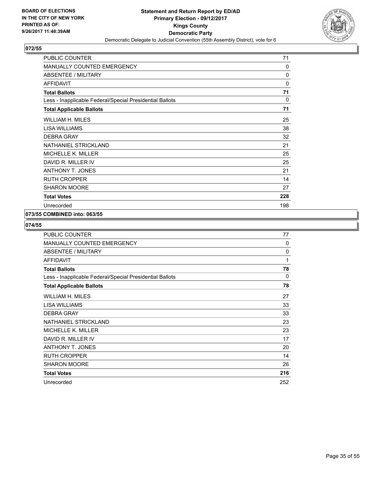

| PUBLIC COUNTER                                           | 71           |
|----------------------------------------------------------|--------------|
| MANUALLY COUNTED EMERGENCY                               | 0            |
| ABSENTEE / MILITARY                                      | $\mathbf{0}$ |
| <b>AFFIDAVIT</b>                                         | 0            |
| <b>Total Ballots</b>                                     | 71           |
| Less - Inapplicable Federal/Special Presidential Ballots | 0            |
| <b>Total Applicable Ballots</b>                          | 71           |
| <b>WILLIAM H. MILES</b>                                  | 25           |
| LISA WILLIAMS                                            | 38           |
| <b>DEBRA GRAY</b>                                        | 32           |
| NATHANIEL STRICKLAND                                     | 21           |
| <b>MICHELLE K. MILLER</b>                                | 25           |
| DAVID R. MILLER IV                                       | 25           |
| <b>ANTHONY T. JONES</b>                                  | 21           |
| <b>RUTH CROPPER</b>                                      | 14           |
| <b>SHARON MOORE</b>                                      | 27           |
| <b>Total Votes</b>                                       | 228          |
| Unrecorded                                               | 198          |

# **073/55 COMBINED into: 063/55**

| PUBLIC COUNTER                                           | 77           |
|----------------------------------------------------------|--------------|
| MANUALLY COUNTED EMERGENCY                               | $\mathbf{0}$ |
| <b>ABSENTEE / MILITARY</b>                               | 0            |
| <b>AFFIDAVIT</b>                                         | 1            |
| <b>Total Ballots</b>                                     | 78           |
| Less - Inapplicable Federal/Special Presidential Ballots | 0            |
| <b>Total Applicable Ballots</b>                          | 78           |
| WILLIAM H. MILES                                         | 27           |
| LISA WILLIAMS                                            | 33           |
| <b>DEBRA GRAY</b>                                        | 33           |
| NATHANIEL STRICKLAND                                     | 23           |
| MICHELLE K. MILLER                                       | 23           |
| DAVID R. MILLER IV                                       | 17           |
| <b>ANTHONY T. JONES</b>                                  | 20           |
| <b>RUTH CROPPER</b>                                      | 14           |
| <b>SHARON MOORE</b>                                      | 26           |
| <b>Total Votes</b>                                       | 216          |
| Unrecorded                                               | 252          |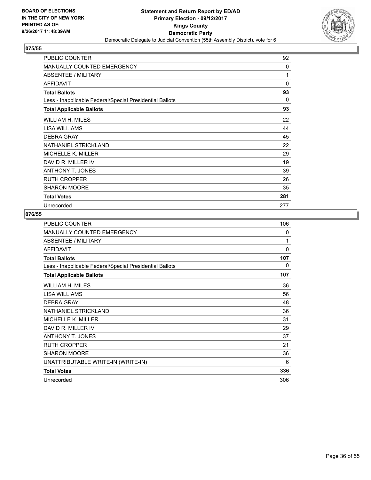

| <b>PUBLIC COUNTER</b>                                    | 92       |
|----------------------------------------------------------|----------|
| <b>MANUALLY COUNTED EMERGENCY</b>                        | $\Omega$ |
| <b>ABSENTEE / MILITARY</b>                               | 1        |
| <b>AFFIDAVIT</b>                                         | 0        |
| <b>Total Ballots</b>                                     | 93       |
| Less - Inapplicable Federal/Special Presidential Ballots | 0        |
| <b>Total Applicable Ballots</b>                          | 93       |
| WILLIAM H. MILES                                         | 22       |
| LISA WILLIAMS                                            | 44       |
| <b>DEBRA GRAY</b>                                        | 45       |
| NATHANIEL STRICKLAND                                     | 22       |
| MICHELLE K. MILLER                                       | 29       |
| DAVID R. MILLER IV                                       | 19       |
| <b>ANTHONY T. JONES</b>                                  | 39       |
| <b>RUTH CROPPER</b>                                      | 26       |
| <b>SHARON MOORE</b>                                      | 35       |
| <b>Total Votes</b>                                       | 281      |
| Unrecorded                                               | 277      |

| <b>PUBLIC COUNTER</b>                                    | 106          |
|----------------------------------------------------------|--------------|
| <b>MANUALLY COUNTED EMERGENCY</b>                        | 0            |
| ABSENTEE / MILITARY                                      | 1            |
| AFFIDAVIT                                                | $\mathbf{0}$ |
| <b>Total Ballots</b>                                     | 107          |
| Less - Inapplicable Federal/Special Presidential Ballots | 0            |
| <b>Total Applicable Ballots</b>                          | 107          |
| <b>WILLIAM H. MILES</b>                                  | 36           |
| <b>LISA WILLIAMS</b>                                     | 56           |
| <b>DEBRA GRAY</b>                                        | 48           |
| NATHANIEL STRICKLAND                                     | 36           |
| <b>MICHELLE K. MILLER</b>                                | 31           |
| DAVID R. MILLER IV                                       | 29           |
| <b>ANTHONY T. JONES</b>                                  | 37           |
| <b>RUTH CROPPER</b>                                      | 21           |
| <b>SHARON MOORE</b>                                      | 36           |
| UNATTRIBUTABLE WRITE-IN (WRITE-IN)                       | 6            |
| <b>Total Votes</b>                                       | 336          |
| Unrecorded                                               | 306          |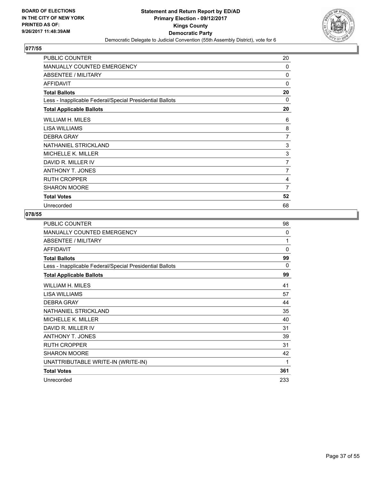

| PUBLIC COUNTER                                           | 20 |
|----------------------------------------------------------|----|
| <b>MANUALLY COUNTED EMERGENCY</b>                        | 0  |
| ABSENTEE / MILITARY                                      | 0  |
| <b>AFFIDAVIT</b>                                         | 0  |
| <b>Total Ballots</b>                                     | 20 |
| Less - Inapplicable Federal/Special Presidential Ballots | 0  |
| <b>Total Applicable Ballots</b>                          | 20 |
| WILLIAM H. MILES                                         | 6  |
| LISA WILLIAMS                                            | 8  |
| <b>DEBRA GRAY</b>                                        | 7  |
| NATHANIEL STRICKLAND                                     | 3  |
| <b>MICHELLE K. MILLER</b>                                | 3  |
| DAVID R. MILLER IV                                       | 7  |
| <b>ANTHONY T. JONES</b>                                  | 7  |
| <b>RUTH CROPPER</b>                                      | 4  |
| <b>SHARON MOORE</b>                                      | 7  |
| <b>Total Votes</b>                                       | 52 |
| Unrecorded                                               | 68 |

| <b>PUBLIC COUNTER</b>                                    | 98  |
|----------------------------------------------------------|-----|
| MANUALLY COUNTED EMERGENCY                               | 0   |
| ABSENTEE / MILITARY                                      | 1   |
| <b>AFFIDAVIT</b>                                         | 0   |
| <b>Total Ballots</b>                                     | 99  |
| Less - Inapplicable Federal/Special Presidential Ballots | 0   |
| <b>Total Applicable Ballots</b>                          | 99  |
| WILLIAM H. MILES                                         | 41  |
| LISA WILLIAMS                                            | 57  |
| <b>DEBRA GRAY</b>                                        | 44  |
| NATHANIEL STRICKLAND                                     | 35  |
| MICHELLE K. MILLER                                       | 40  |
| DAVID R. MILLER IV                                       | 31  |
| ANTHONY T. JONES                                         | 39  |
| <b>RUTH CROPPER</b>                                      | 31  |
| <b>SHARON MOORE</b>                                      | 42  |
| UNATTRIBUTABLE WRITE-IN (WRITE-IN)                       | 1   |
| <b>Total Votes</b>                                       | 361 |
| Unrecorded                                               | 233 |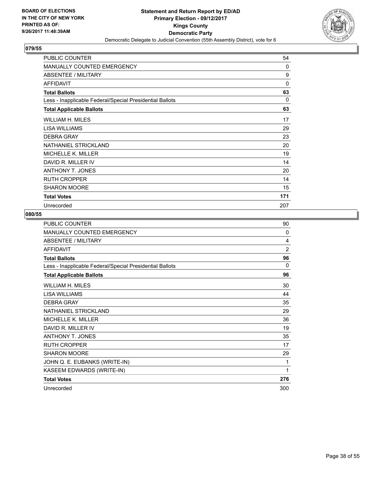

| PUBLIC COUNTER                                           | 54       |
|----------------------------------------------------------|----------|
| <b>MANUALLY COUNTED EMERGENCY</b>                        | $\Omega$ |
| <b>ABSENTEE / MILITARY</b>                               | 9        |
| <b>AFFIDAVIT</b>                                         | 0        |
| <b>Total Ballots</b>                                     | 63       |
| Less - Inapplicable Federal/Special Presidential Ballots | 0        |
| <b>Total Applicable Ballots</b>                          | 63       |
| WILLIAM H. MILES                                         | 17       |
| LISA WILLIAMS                                            | 29       |
| <b>DEBRA GRAY</b>                                        | 23       |
| NATHANIEL STRICKLAND                                     | 20       |
| MICHELLE K. MILLER                                       | 19       |
| DAVID R. MILLER IV                                       | 14       |
| <b>ANTHONY T. JONES</b>                                  | 20       |
| <b>RUTH CROPPER</b>                                      | 14       |
| <b>SHARON MOORE</b>                                      | 15       |
| <b>Total Votes</b>                                       | 171      |
| Unrecorded                                               | 207      |

| <b>PUBLIC COUNTER</b>                                    | 90  |
|----------------------------------------------------------|-----|
| MANUALLY COUNTED EMERGENCY                               | 0   |
| <b>ABSENTEE / MILITARY</b>                               | 4   |
| <b>AFFIDAVIT</b>                                         | 2   |
| <b>Total Ballots</b>                                     | 96  |
| Less - Inapplicable Federal/Special Presidential Ballots | 0   |
| <b>Total Applicable Ballots</b>                          | 96  |
| WILLIAM H. MILES                                         | 30  |
| LISA WILLIAMS                                            | 44  |
| <b>DEBRA GRAY</b>                                        | 35  |
| <b>NATHANIEL STRICKLAND</b>                              | 29  |
| MICHELLE K. MILLER                                       | 36  |
| DAVID R. MILLER IV                                       | 19  |
| <b>ANTHONY T. JONES</b>                                  | 35  |
| <b>RUTH CROPPER</b>                                      | 17  |
| <b>SHARON MOORE</b>                                      | 29  |
| JOHN Q. E. EUBANKS (WRITE-IN)                            | 1   |
| KASEEM EDWARDS (WRITE-IN)                                | 1   |
| <b>Total Votes</b>                                       | 276 |
| Unrecorded                                               | 300 |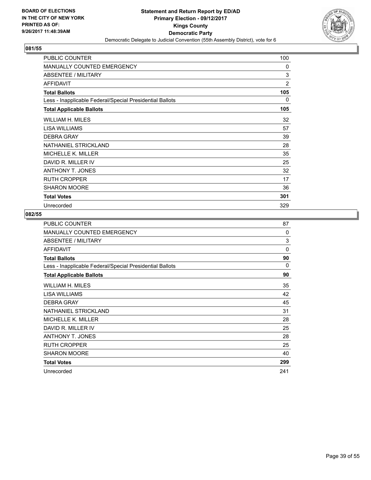

| <b>PUBLIC COUNTER</b>                                    | 100 |
|----------------------------------------------------------|-----|
| <b>MANUALLY COUNTED EMERGENCY</b>                        | 0   |
| <b>ABSENTEE / MILITARY</b>                               | 3   |
| <b>AFFIDAVIT</b>                                         | 2   |
| <b>Total Ballots</b>                                     | 105 |
| Less - Inapplicable Federal/Special Presidential Ballots | 0   |
| <b>Total Applicable Ballots</b>                          | 105 |
| WILLIAM H. MILES                                         | 32  |
| LISA WILLIAMS                                            | 57  |
| <b>DEBRA GRAY</b>                                        | 39  |
| NATHANIEL STRICKLAND                                     | 28  |
| MICHELLE K. MILLER                                       | 35  |
| DAVID R. MILLER IV                                       | 25  |
| <b>ANTHONY T. JONES</b>                                  | 32  |
| <b>RUTH CROPPER</b>                                      | 17  |
| <b>SHARON MOORE</b>                                      | 36  |
| <b>Total Votes</b>                                       | 301 |
| Unrecorded                                               | 329 |

| <b>PUBLIC COUNTER</b>                                    | 87       |
|----------------------------------------------------------|----------|
| MANUALLY COUNTED EMERGENCY                               | $\Omega$ |
| ABSENTEE / MILITARY                                      | 3        |
| <b>AFFIDAVIT</b>                                         | $\Omega$ |
| <b>Total Ballots</b>                                     | 90       |
| Less - Inapplicable Federal/Special Presidential Ballots | 0        |
| <b>Total Applicable Ballots</b>                          | 90       |
| WILLIAM H. MILES                                         | 35       |
| LISA WILLIAMS                                            | 42       |
| <b>DEBRA GRAY</b>                                        | 45       |
| NATHANIEL STRICKLAND                                     | 31       |
| <b>MICHELLE K. MILLER</b>                                | 28       |
| DAVID R. MILLER IV                                       | 25       |
| <b>ANTHONY T. JONES</b>                                  | 28       |
| <b>RUTH CROPPER</b>                                      | 25       |
| <b>SHARON MOORE</b>                                      | 40       |
| <b>Total Votes</b>                                       | 299      |
| Unrecorded                                               | 241      |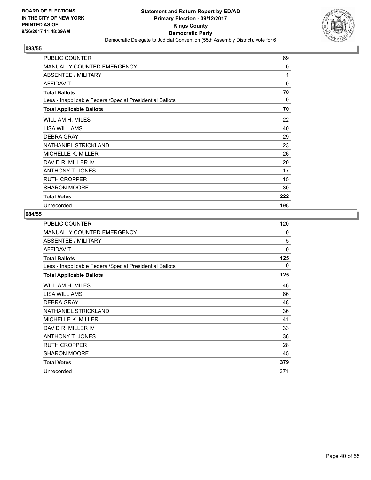

| <b>PUBLIC COUNTER</b>                                    | 69  |
|----------------------------------------------------------|-----|
| <b>MANUALLY COUNTED EMERGENCY</b>                        | 0   |
| ABSENTEE / MILITARY                                      | 1   |
| <b>AFFIDAVIT</b>                                         | 0   |
| <b>Total Ballots</b>                                     | 70  |
| Less - Inapplicable Federal/Special Presidential Ballots | 0   |
| <b>Total Applicable Ballots</b>                          | 70  |
| WILLIAM H. MILES                                         | 22  |
| LISA WILLIAMS                                            | 40  |
| <b>DEBRA GRAY</b>                                        | 29  |
| NATHANIEL STRICKLAND                                     | 23  |
| <b>MICHELLE K. MILLER</b>                                | 26  |
| DAVID R. MILLER IV                                       | 20  |
| <b>ANTHONY T. JONES</b>                                  | 17  |
| <b>RUTH CROPPER</b>                                      | 15  |
| <b>SHARON MOORE</b>                                      | 30  |
| <b>Total Votes</b>                                       | 222 |
| Unrecorded                                               | 198 |

| <b>PUBLIC COUNTER</b>                                    | 120      |
|----------------------------------------------------------|----------|
| <b>MANUALLY COUNTED EMERGENCY</b>                        | $\Omega$ |
| ABSENTEE / MILITARY                                      | 5        |
| <b>AFFIDAVIT</b>                                         | $\Omega$ |
| <b>Total Ballots</b>                                     | 125      |
| Less - Inapplicable Federal/Special Presidential Ballots | 0        |
| <b>Total Applicable Ballots</b>                          | 125      |
| WILLIAM H. MILES                                         | 46       |
| LISA WILLIAMS                                            | 66       |
| <b>DEBRA GRAY</b>                                        | 48       |
| NATHANIEL STRICKLAND                                     | 36       |
| <b>MICHELLE K. MILLER</b>                                | 41       |
| DAVID R. MILLER IV                                       | 33       |
| ANTHONY T. JONES                                         | 36       |
| <b>RUTH CROPPER</b>                                      | 28       |
| <b>SHARON MOORE</b>                                      | 45       |
| <b>Total Votes</b>                                       | 379      |
| Unrecorded                                               | 371      |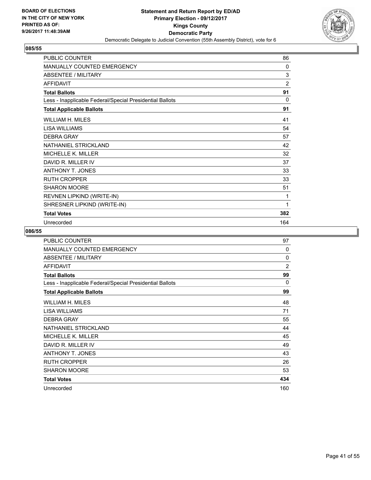

| <b>PUBLIC COUNTER</b>                                    | 86             |
|----------------------------------------------------------|----------------|
| <b>MANUALLY COUNTED EMERGENCY</b>                        | 0              |
| <b>ABSENTEE / MILITARY</b>                               | 3              |
| <b>AFFIDAVIT</b>                                         | $\overline{2}$ |
| <b>Total Ballots</b>                                     | 91             |
| Less - Inapplicable Federal/Special Presidential Ballots | 0              |
| <b>Total Applicable Ballots</b>                          | 91             |
| <b>WILLIAM H. MILES</b>                                  | 41             |
| <b>LISA WILLIAMS</b>                                     | 54             |
| <b>DEBRA GRAY</b>                                        | 57             |
| NATHANIEL STRICKLAND                                     | 42             |
| <b>MICHELLE K. MILLER</b>                                | 32             |
| DAVID R. MILLER IV                                       | 37             |
| <b>ANTHONY T. JONES</b>                                  | 33             |
| <b>RUTH CROPPER</b>                                      | 33             |
| <b>SHARON MOORE</b>                                      | 51             |
| REVNEN LIPKIND (WRITE-IN)                                | 1              |
| SHRESNER LIPKIND (WRITE-IN)                              | 1              |
| <b>Total Votes</b>                                       | 382            |
| Unrecorded                                               | 164            |

| <b>PUBLIC COUNTER</b>                                    | 97             |
|----------------------------------------------------------|----------------|
| MANUALLY COUNTED EMERGENCY                               | $\Omega$       |
| ABSENTEE / MILITARY                                      | $\mathbf{0}$   |
| <b>AFFIDAVIT</b>                                         | $\overline{2}$ |
| <b>Total Ballots</b>                                     | 99             |
| Less - Inapplicable Federal/Special Presidential Ballots | $\Omega$       |
| <b>Total Applicable Ballots</b>                          | 99             |
| WILLIAM H. MILES                                         | 48             |
| LISA WILLIAMS                                            | 71             |
| <b>DEBRA GRAY</b>                                        | 55             |
| NATHANIEL STRICKLAND                                     | 44             |
| <b>MICHELLE K. MILLER</b>                                | 45             |
| DAVID R. MILLER IV                                       | 49             |
| <b>ANTHONY T. JONES</b>                                  | 43             |
| <b>RUTH CROPPER</b>                                      | 26             |
| <b>SHARON MOORE</b>                                      | 53             |
| <b>Total Votes</b>                                       | 434            |
| Unrecorded                                               | 160            |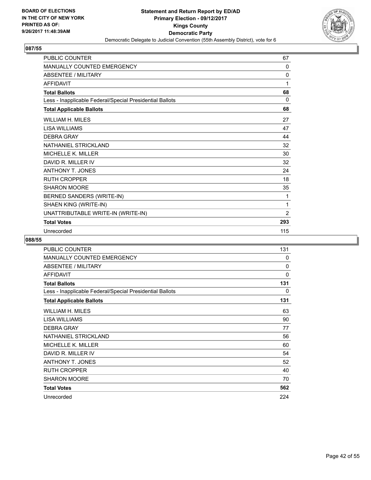

| <b>PUBLIC COUNTER</b>                                    | 67       |
|----------------------------------------------------------|----------|
| <b>MANUALLY COUNTED EMERGENCY</b>                        | 0        |
| <b>ABSENTEE / MILITARY</b>                               | 0        |
| <b>AFFIDAVIT</b>                                         | 1        |
| <b>Total Ballots</b>                                     | 68       |
| Less - Inapplicable Federal/Special Presidential Ballots | $\Omega$ |
| <b>Total Applicable Ballots</b>                          | 68       |
| <b>WILLIAM H. MILES</b>                                  | 27       |
| <b>LISA WILLIAMS</b>                                     | 47       |
| <b>DEBRA GRAY</b>                                        | 44       |
| NATHANIEL STRICKLAND                                     | 32       |
| MICHELLE K. MILLER                                       | 30       |
| DAVID R. MILLER IV                                       | 32       |
| ANTHONY T. JONES                                         | 24       |
| <b>RUTH CROPPER</b>                                      | 18       |
| <b>SHARON MOORE</b>                                      | 35       |
| BERNED SANDERS (WRITE-IN)                                | 1        |
| SHAEN KING (WRITE-IN)                                    | 1        |
| UNATTRIBUTABLE WRITE-IN (WRITE-IN)                       | 2        |
| <b>Total Votes</b>                                       | 293      |
| Unrecorded                                               | 115      |

| PUBLIC COUNTER                                           | 131 |
|----------------------------------------------------------|-----|
| <b>MANUALLY COUNTED EMERGENCY</b>                        | 0   |
| ABSENTEE / MILITARY                                      | 0   |
| <b>AFFIDAVIT</b>                                         | 0   |
| <b>Total Ballots</b>                                     | 131 |
| Less - Inapplicable Federal/Special Presidential Ballots | 0   |
| <b>Total Applicable Ballots</b>                          | 131 |
| WILLIAM H. MILES                                         | 63  |
| LISA WILLIAMS                                            | 90  |
| <b>DEBRA GRAY</b>                                        | 77  |
| NATHANIEL STRICKLAND                                     | 56  |
| <b>MICHELLE K. MILLER</b>                                | 60  |
| DAVID R. MILLER IV                                       | 54  |
| ANTHONY T. JONES                                         | 52  |
| <b>RUTH CROPPER</b>                                      | 40  |
| <b>SHARON MOORE</b>                                      | 70  |
| <b>Total Votes</b>                                       | 562 |
| Unrecorded                                               | 224 |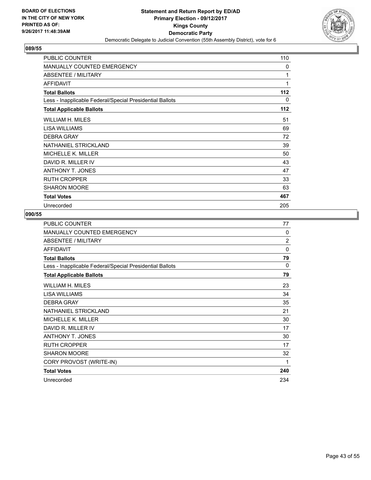

| PUBLIC COUNTER                                           | 110 |
|----------------------------------------------------------|-----|
| <b>MANUALLY COUNTED EMERGENCY</b>                        | 0   |
| <b>ABSENTEE / MILITARY</b>                               | 1   |
| <b>AFFIDAVIT</b>                                         | 1   |
| <b>Total Ballots</b>                                     | 112 |
| Less - Inapplicable Federal/Special Presidential Ballots | 0   |
| <b>Total Applicable Ballots</b>                          | 112 |
| WILLIAM H. MILES                                         | 51  |
| LISA WILLIAMS                                            | 69  |
| <b>DEBRA GRAY</b>                                        | 72  |
| NATHANIEL STRICKLAND                                     | 39  |
| MICHELLE K. MILLER                                       | 50  |
| DAVID R. MILLER IV                                       | 43  |
| <b>ANTHONY T. JONES</b>                                  | 47  |
| <b>RUTH CROPPER</b>                                      | 33  |
| <b>SHARON MOORE</b>                                      | 63  |
| <b>Total Votes</b>                                       | 467 |
| Unrecorded                                               | 205 |

| <b>PUBLIC COUNTER</b>                                    | 77       |
|----------------------------------------------------------|----------|
| <b>MANUALLY COUNTED EMERGENCY</b>                        | $\Omega$ |
| ABSENTEE / MILITARY                                      | 2        |
| <b>AFFIDAVIT</b>                                         | $\Omega$ |
| <b>Total Ballots</b>                                     | 79       |
| Less - Inapplicable Federal/Special Presidential Ballots | 0        |
| <b>Total Applicable Ballots</b>                          | 79       |
| WILLIAM H. MILES                                         | 23       |
| LISA WILLIAMS                                            | 34       |
| <b>DEBRA GRAY</b>                                        | 35       |
| NATHANIEL STRICKLAND                                     | 21       |
| <b>MICHELLE K. MILLER</b>                                | 30       |
| DAVID R. MILLER IV                                       | 17       |
| <b>ANTHONY T. JONES</b>                                  | 30       |
| <b>RUTH CROPPER</b>                                      | 17       |
| <b>SHARON MOORE</b>                                      | 32       |
| CORY PROVOST (WRITE-IN)                                  | 1        |
| <b>Total Votes</b>                                       | 240      |
| Unrecorded                                               | 234      |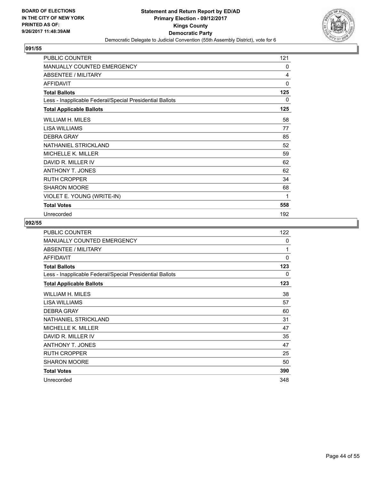

| PUBLIC COUNTER                                           | 121 |
|----------------------------------------------------------|-----|
| <b>MANUALLY COUNTED EMERGENCY</b>                        | 0   |
| <b>ABSENTEE / MILITARY</b>                               | 4   |
| <b>AFFIDAVIT</b>                                         | 0   |
| <b>Total Ballots</b>                                     | 125 |
| Less - Inapplicable Federal/Special Presidential Ballots | 0   |
| <b>Total Applicable Ballots</b>                          | 125 |
| WILLIAM H. MILES                                         | 58  |
| <b>LISA WILLIAMS</b>                                     | 77  |
| <b>DEBRA GRAY</b>                                        | 85  |
| NATHANIEL STRICKLAND                                     | 52  |
| <b>MICHELLE K. MILLER</b>                                | 59  |
| DAVID R. MILLER IV                                       | 62  |
| <b>ANTHONY T. JONES</b>                                  | 62  |
| <b>RUTH CROPPER</b>                                      | 34  |
| <b>SHARON MOORE</b>                                      | 68  |
| VIOLET E. YOUNG (WRITE-IN)                               | 1   |
| <b>Total Votes</b>                                       | 558 |
| Unrecorded                                               | 192 |

| PUBLIC COUNTER                                           | 122         |
|----------------------------------------------------------|-------------|
| <b>MANUALLY COUNTED EMERGENCY</b>                        | 0           |
| ABSENTEE / MILITARY                                      | 1           |
| <b>AFFIDAVIT</b>                                         | $\mathbf 0$ |
| <b>Total Ballots</b>                                     | 123         |
| Less - Inapplicable Federal/Special Presidential Ballots | 0           |
| <b>Total Applicable Ballots</b>                          | 123         |
| WILLIAM H. MILES                                         | 38          |
| LISA WILLIAMS                                            | 57          |
| <b>DEBRA GRAY</b>                                        | 60          |
| NATHANIEL STRICKLAND                                     | 31          |
| MICHELLE K. MILLER                                       | 47          |
| DAVID R. MILLER IV                                       | 35          |
| ANTHONY T. JONES                                         | 47          |
| <b>RUTH CROPPER</b>                                      | 25          |
| <b>SHARON MOORE</b>                                      | 50          |
| <b>Total Votes</b>                                       | 390         |
| Unrecorded                                               | 348         |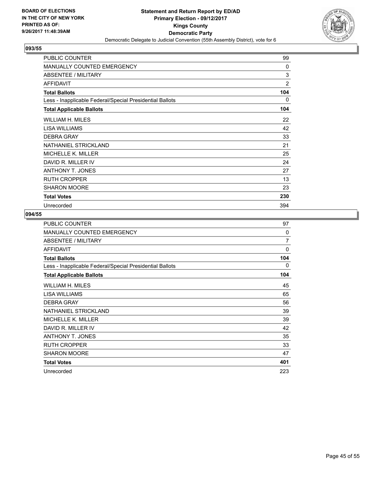

| <b>PUBLIC COUNTER</b>                                    | 99  |
|----------------------------------------------------------|-----|
| <b>MANUALLY COUNTED EMERGENCY</b>                        | 0   |
| ABSENTEE / MILITARY                                      | 3   |
| <b>AFFIDAVIT</b>                                         | 2   |
| <b>Total Ballots</b>                                     | 104 |
| Less - Inapplicable Federal/Special Presidential Ballots | 0   |
| <b>Total Applicable Ballots</b>                          | 104 |
| WILLIAM H. MILES                                         | 22  |
| LISA WILLIAMS                                            | 42  |
| <b>DEBRA GRAY</b>                                        | 33  |
| NATHANIEL STRICKLAND                                     | 21  |
| <b>MICHELLE K. MILLER</b>                                | 25  |
| DAVID R. MILLER IV                                       | 24  |
| <b>ANTHONY T. JONES</b>                                  | 27  |
| <b>RUTH CROPPER</b>                                      | 13  |
| <b>SHARON MOORE</b>                                      | 23  |
| <b>Total Votes</b>                                       | 230 |
| Unrecorded                                               | 394 |

| PUBLIC COUNTER                                           | 97       |
|----------------------------------------------------------|----------|
| <b>MANUALLY COUNTED EMERGENCY</b>                        | $\Omega$ |
| ABSENTEE / MILITARY                                      | 7        |
| <b>AFFIDAVIT</b>                                         | $\Omega$ |
| <b>Total Ballots</b>                                     | 104      |
| Less - Inapplicable Federal/Special Presidential Ballots | 0        |
| <b>Total Applicable Ballots</b>                          | 104      |
| WILLIAM H. MILES                                         | 45       |
| <b>LISA WILLIAMS</b>                                     | 65       |
| <b>DEBRA GRAY</b>                                        | 56       |
| NATHANIEL STRICKLAND                                     | 39       |
| MICHELLE K. MILLER                                       | 39       |
| DAVID R. MILLER IV                                       | 42       |
| ANTHONY T. JONES                                         | 35       |
| <b>RUTH CROPPER</b>                                      | 33       |
| <b>SHARON MOORE</b>                                      | 47       |
| <b>Total Votes</b>                                       | 401      |
| Unrecorded                                               | 223      |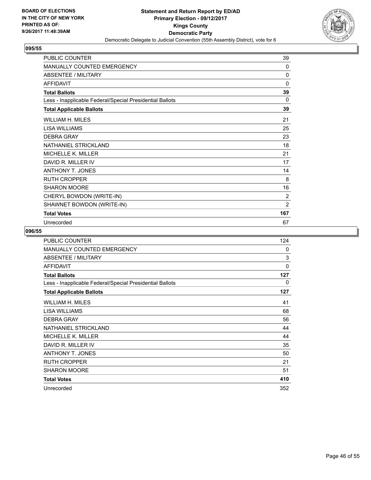

| <b>PUBLIC COUNTER</b>                                    | 39             |
|----------------------------------------------------------|----------------|
| <b>MANUALLY COUNTED EMERGENCY</b>                        | 0              |
| <b>ABSENTEE / MILITARY</b>                               | 0              |
| <b>AFFIDAVIT</b>                                         | $\mathbf{0}$   |
| <b>Total Ballots</b>                                     | 39             |
| Less - Inapplicable Federal/Special Presidential Ballots | 0              |
| <b>Total Applicable Ballots</b>                          | 39             |
| WILLIAM H. MILES                                         | 21             |
| <b>LISA WILLIAMS</b>                                     | 25             |
| DEBRA GRAY                                               | 23             |
| NATHANIEL STRICKLAND                                     | 18             |
| <b>MICHELLE K. MILLER</b>                                | 21             |
| DAVID R. MILLER IV                                       | 17             |
| <b>ANTHONY T. JONES</b>                                  | 14             |
| <b>RUTH CROPPER</b>                                      | 8              |
| <b>SHARON MOORE</b>                                      | 16             |
| CHERYL BOWDON (WRITE-IN)                                 | 2              |
| SHAWNET BOWDON (WRITE-IN)                                | $\overline{2}$ |
| <b>Total Votes</b>                                       | 167            |
| Unrecorded                                               | 67             |

| PUBLIC COUNTER                                           | 124 |
|----------------------------------------------------------|-----|
| <b>MANUALLY COUNTED EMERGENCY</b>                        | 0   |
| ABSENTEE / MILITARY                                      | 3   |
| <b>AFFIDAVIT</b>                                         | 0   |
| <b>Total Ballots</b>                                     | 127 |
| Less - Inapplicable Federal/Special Presidential Ballots | 0   |
| <b>Total Applicable Ballots</b>                          | 127 |
| <b>WILLIAM H. MILES</b>                                  | 41  |
| LISA WILLIAMS                                            | 68  |
| <b>DEBRA GRAY</b>                                        | 56  |
| NATHANIEL STRICKLAND                                     | 44  |
| <b>MICHELLE K. MILLER</b>                                | 44  |
| DAVID R. MILLER IV                                       | 35  |
| <b>ANTHONY T. JONES</b>                                  | 50  |
| <b>RUTH CROPPER</b>                                      | 21  |
| <b>SHARON MOORE</b>                                      | 51  |
| <b>Total Votes</b>                                       | 410 |
| Unrecorded                                               | 352 |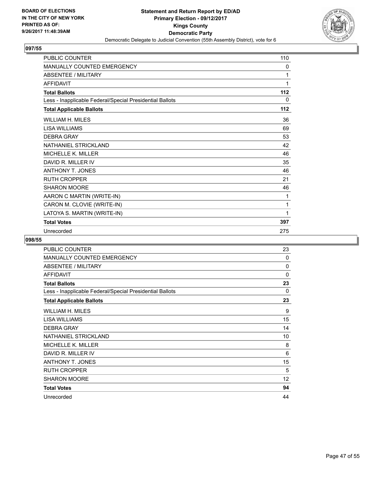

| <b>PUBLIC COUNTER</b>                                    | 110 |
|----------------------------------------------------------|-----|
| <b>MANUALLY COUNTED EMERGENCY</b>                        | 0   |
| <b>ABSENTEE / MILITARY</b>                               | 1   |
| <b>AFFIDAVIT</b>                                         | 1   |
| <b>Total Ballots</b>                                     | 112 |
| Less - Inapplicable Federal/Special Presidential Ballots | 0   |
| <b>Total Applicable Ballots</b>                          | 112 |
| <b>WILLIAM H. MILES</b>                                  | 36  |
| <b>LISA WILLIAMS</b>                                     | 69  |
| <b>DEBRA GRAY</b>                                        | 53  |
| NATHANIEL STRICKLAND                                     | 42  |
| <b>MICHELLE K. MILLER</b>                                | 46  |
| DAVID R. MILLER IV                                       | 35  |
| <b>ANTHONY T. JONES</b>                                  | 46  |
| <b>RUTH CROPPER</b>                                      | 21  |
| <b>SHARON MOORE</b>                                      | 46  |
| AARON C MARTIN (WRITE-IN)                                | 1   |
| CARON M. CLOVIE (WRITE-IN)                               | 1   |
| LATOYA S. MARTIN (WRITE-IN)                              | 1   |
| <b>Total Votes</b>                                       | 397 |
| Unrecorded                                               | 275 |

| PUBLIC COUNTER                                           | 23                |
|----------------------------------------------------------|-------------------|
| <b>MANUALLY COUNTED EMERGENCY</b>                        | 0                 |
| ABSENTEE / MILITARY                                      | 0                 |
| <b>AFFIDAVIT</b>                                         | 0                 |
| <b>Total Ballots</b>                                     | 23                |
| Less - Inapplicable Federal/Special Presidential Ballots | 0                 |
| <b>Total Applicable Ballots</b>                          | 23                |
| WILLIAM H. MILES                                         | 9                 |
| <b>LISA WILLIAMS</b>                                     | 15                |
| <b>DEBRA GRAY</b>                                        | 14                |
| NATHANIEL STRICKLAND                                     | 10                |
| MICHELLE K. MILLER                                       | 8                 |
| DAVID R. MILLER IV                                       | 6                 |
| ANTHONY T. JONES                                         | 15                |
| <b>RUTH CROPPER</b>                                      | 5                 |
| <b>SHARON MOORE</b>                                      | $12 \overline{ }$ |
| <b>Total Votes</b>                                       | 94                |
| Unrecorded                                               | 44                |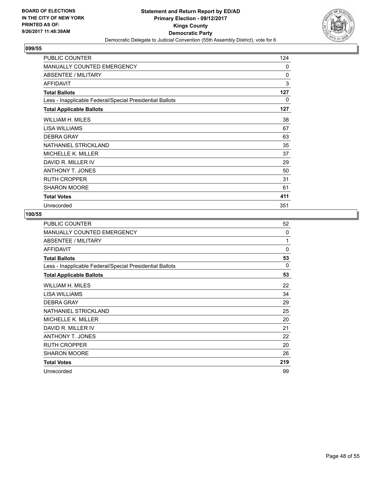

| PUBLIC COUNTER                                           | 124          |
|----------------------------------------------------------|--------------|
| <b>MANUALLY COUNTED EMERGENCY</b>                        | $\mathbf{0}$ |
| <b>ABSENTEE / MILITARY</b>                               | $\mathbf{0}$ |
| <b>AFFIDAVIT</b>                                         | 3            |
| <b>Total Ballots</b>                                     | 127          |
| Less - Inapplicable Federal/Special Presidential Ballots | 0            |
| <b>Total Applicable Ballots</b>                          | 127          |
| WILLIAM H. MILES                                         | 38           |
| LISA WILLIAMS                                            | 67           |
| <b>DEBRA GRAY</b>                                        | 63           |
| NATHANIEL STRICKLAND                                     | 35           |
| MICHELLE K. MILLER                                       | 37           |
| DAVID R. MILLER IV                                       | 29           |
| <b>ANTHONY T. JONES</b>                                  | 50           |
| <b>RUTH CROPPER</b>                                      | 31           |
| <b>SHARON MOORE</b>                                      | 61           |
| <b>Total Votes</b>                                       | 411          |
| Unrecorded                                               | 351          |

| PUBLIC COUNTER                                           | 52       |
|----------------------------------------------------------|----------|
| MANUALLY COUNTED EMERGENCY                               | $\Omega$ |
| <b>ABSENTEE / MILITARY</b>                               | 1        |
| <b>AFFIDAVIT</b>                                         | $\Omega$ |
| <b>Total Ballots</b>                                     | 53       |
| Less - Inapplicable Federal/Special Presidential Ballots | 0        |
| <b>Total Applicable Ballots</b>                          | 53       |
| WILLIAM H. MILES                                         | 22       |
| LISA WILLIAMS                                            | 34       |
| <b>DEBRA GRAY</b>                                        | 29       |
| NATHANIEL STRICKLAND                                     | 25       |
| MICHELLE K. MILLER                                       | 20       |
| DAVID R. MILLER IV                                       | 21       |
| <b>ANTHONY T. JONES</b>                                  | 22       |
| <b>RUTH CROPPER</b>                                      | 20       |
| <b>SHARON MOORE</b>                                      | 26       |
| <b>Total Votes</b>                                       | 219      |
| Unrecorded                                               | 99       |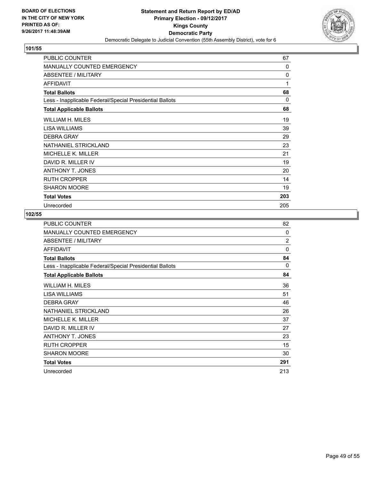

| PUBLIC COUNTER                                           | 67       |
|----------------------------------------------------------|----------|
| <b>MANUALLY COUNTED EMERGENCY</b>                        | $\Omega$ |
| <b>ABSENTEE / MILITARY</b>                               | 0        |
| <b>AFFIDAVIT</b>                                         | 1        |
| <b>Total Ballots</b>                                     | 68       |
| Less - Inapplicable Federal/Special Presidential Ballots | 0        |
| <b>Total Applicable Ballots</b>                          | 68       |
| <b>WILLIAM H. MILES</b>                                  | 19       |
| LISA WILLIAMS                                            | 39       |
| <b>DEBRA GRAY</b>                                        | 29       |
| NATHANIEL STRICKLAND                                     | 23       |
| MICHELLE K. MILLER                                       | 21       |
| DAVID R. MILLER IV                                       | 19       |
| <b>ANTHONY T. JONES</b>                                  | 20       |
| <b>RUTH CROPPER</b>                                      | 14       |
| <b>SHARON MOORE</b>                                      | 19       |
| <b>Total Votes</b>                                       | 203      |
| Unrecorded                                               | 205      |

| <b>PUBLIC COUNTER</b>                                    | 82             |
|----------------------------------------------------------|----------------|
| MANUALLY COUNTED EMERGENCY                               | $\Omega$       |
| ABSENTEE / MILITARY                                      | $\overline{2}$ |
| <b>AFFIDAVIT</b>                                         | $\Omega$       |
| <b>Total Ballots</b>                                     | 84             |
| Less - Inapplicable Federal/Special Presidential Ballots | 0              |
| <b>Total Applicable Ballots</b>                          | 84             |
| WILLIAM H. MILES                                         | 36             |
| LISA WILLIAMS                                            | 51             |
| <b>DEBRA GRAY</b>                                        | 46             |
| NATHANIEL STRICKLAND                                     | 26             |
| MICHELLE K. MILLER                                       | 37             |
| DAVID R. MILLER IV                                       | 27             |
| ANTHONY T. JONES                                         | 23             |
| <b>RUTH CROPPER</b>                                      | 15             |
| <b>SHARON MOORE</b>                                      | 30             |
| <b>Total Votes</b>                                       | 291            |
| Unrecorded                                               | 213            |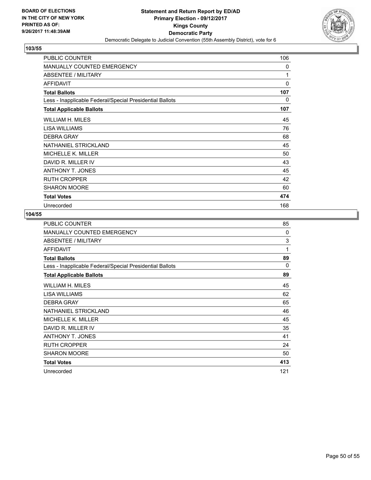

| PUBLIC COUNTER                                           | 106 |
|----------------------------------------------------------|-----|
| <b>MANUALLY COUNTED EMERGENCY</b>                        | 0   |
| <b>ABSENTEE / MILITARY</b>                               | 1   |
| <b>AFFIDAVIT</b>                                         | 0   |
| <b>Total Ballots</b>                                     | 107 |
| Less - Inapplicable Federal/Special Presidential Ballots | 0   |
| <b>Total Applicable Ballots</b>                          | 107 |
| <b>WILLIAM H. MILES</b>                                  | 45  |
| LISA WILLIAMS                                            | 76  |
| <b>DEBRA GRAY</b>                                        | 68  |
| NATHANIEL STRICKLAND                                     | 45  |
| MICHELLE K. MILLER                                       | 50  |
| DAVID R. MILLER IV                                       | 43  |
| <b>ANTHONY T. JONES</b>                                  | 45  |
| <b>RUTH CROPPER</b>                                      | 42  |
| <b>SHARON MOORE</b>                                      | 60  |
| <b>Total Votes</b>                                       | 474 |
| Unrecorded                                               | 168 |

| PUBLIC COUNTER                                           | 85       |
|----------------------------------------------------------|----------|
| <b>MANUALLY COUNTED EMERGENCY</b>                        | $\Omega$ |
| ABSENTEE / MILITARY                                      | 3        |
| <b>AFFIDAVIT</b>                                         | 1        |
| <b>Total Ballots</b>                                     | 89       |
| Less - Inapplicable Federal/Special Presidential Ballots | $\Omega$ |
| <b>Total Applicable Ballots</b>                          | 89       |
| WILLIAM H. MILES                                         | 45       |
| <b>LISA WILLIAMS</b>                                     | 62       |
| <b>DEBRA GRAY</b>                                        | 65       |
| NATHANIEL STRICKLAND                                     | 46       |
| <b>MICHELLE K. MILLER</b>                                | 45       |
| DAVID R. MILLER IV                                       | 35       |
| <b>ANTHONY T. JONES</b>                                  | 41       |
| <b>RUTH CROPPER</b>                                      | 24       |
| SHARON MOORE                                             | 50       |
| <b>Total Votes</b>                                       | 413      |
| Unrecorded                                               | 121      |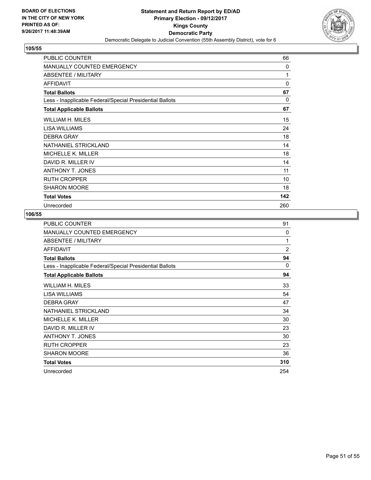

| <b>PUBLIC COUNTER</b>                                    | 66  |
|----------------------------------------------------------|-----|
| MANUALLY COUNTED EMERGENCY                               | 0   |
| <b>ABSENTEE / MILITARY</b>                               | 1   |
| AFFIDAVIT                                                | 0   |
| <b>Total Ballots</b>                                     | 67  |
| Less - Inapplicable Federal/Special Presidential Ballots | 0   |
| <b>Total Applicable Ballots</b>                          | 67  |
| WILLIAM H. MILES                                         | 15  |
| LISA WILLIAMS                                            | 24  |
| <b>DEBRA GRAY</b>                                        | 18  |
| NATHANIEL STRICKLAND                                     | 14  |
| <b>MICHELLE K. MILLER</b>                                | 18  |
| DAVID R. MILLER IV                                       | 14  |
| <b>ANTHONY T. JONES</b>                                  | 11  |
| <b>RUTH CROPPER</b>                                      | 10  |
| <b>SHARON MOORE</b>                                      | 18  |
| <b>Total Votes</b>                                       | 142 |
| Unrecorded                                               | 260 |

| PUBLIC COUNTER                                           | 91             |
|----------------------------------------------------------|----------------|
| <b>MANUALLY COUNTED EMERGENCY</b>                        | 0              |
| ABSENTEE / MILITARY                                      | 1              |
| <b>AFFIDAVIT</b>                                         | $\overline{2}$ |
| <b>Total Ballots</b>                                     | 94             |
| Less - Inapplicable Federal/Special Presidential Ballots | $\Omega$       |
| <b>Total Applicable Ballots</b>                          | 94             |
| WILLIAM H. MILES                                         | 33             |
| <b>LISA WILLIAMS</b>                                     | 54             |
| <b>DEBRA GRAY</b>                                        | 47             |
| NATHANIEL STRICKLAND                                     | 34             |
| <b>MICHELLE K. MILLER</b>                                | 30             |
| DAVID R. MILLER IV                                       | 23             |
| <b>ANTHONY T. JONES</b>                                  | 30             |
| <b>RUTH CROPPER</b>                                      | 23             |
| SHARON MOORE                                             | 36             |
| <b>Total Votes</b>                                       | 310            |
| Unrecorded                                               | 254            |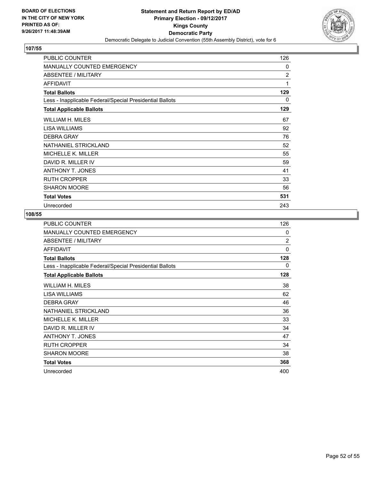

| PUBLIC COUNTER                                           | 126 |
|----------------------------------------------------------|-----|
| <b>MANUALLY COUNTED EMERGENCY</b>                        | 0   |
| <b>ABSENTEE / MILITARY</b>                               | 2   |
| <b>AFFIDAVIT</b>                                         | 1   |
| <b>Total Ballots</b>                                     | 129 |
| Less - Inapplicable Federal/Special Presidential Ballots | 0   |
| <b>Total Applicable Ballots</b>                          | 129 |
| WILLIAM H. MILES                                         | 67  |
| LISA WILLIAMS                                            | 92  |
| <b>DEBRA GRAY</b>                                        | 76  |
| <b>NATHANIEL STRICKLAND</b>                              | 52  |
| MICHELLE K. MILLER                                       | 55  |
| DAVID R. MILLER IV                                       | 59  |
| <b>ANTHONY T. JONES</b>                                  | 41  |
| <b>RUTH CROPPER</b>                                      | 33  |
| <b>SHARON MOORE</b>                                      | 56  |
| <b>Total Votes</b>                                       | 531 |
| Unrecorded                                               | 243 |

| PUBLIC COUNTER                                           | 126            |
|----------------------------------------------------------|----------------|
| MANUALLY COUNTED EMERGENCY                               | $\Omega$       |
| ABSENTEE / MILITARY                                      | $\overline{2}$ |
| <b>AFFIDAVIT</b>                                         | 0              |
| <b>Total Ballots</b>                                     | 128            |
| Less - Inapplicable Federal/Special Presidential Ballots | 0              |
| <b>Total Applicable Ballots</b>                          | 128            |
| WILLIAM H. MILES                                         | 38             |
| LISA WILLIAMS                                            | 62             |
| <b>DEBRA GRAY</b>                                        | 46             |
| NATHANIEL STRICKLAND                                     | 36             |
| MICHELLE K. MILLER                                       | 33             |
| DAVID R. MILLER IV                                       | 34             |
| <b>ANTHONY T. JONES</b>                                  | 47             |
| <b>RUTH CROPPER</b>                                      | 34             |
| <b>SHARON MOORE</b>                                      | 38             |
| <b>Total Votes</b>                                       | 368            |
| Unrecorded                                               | 400            |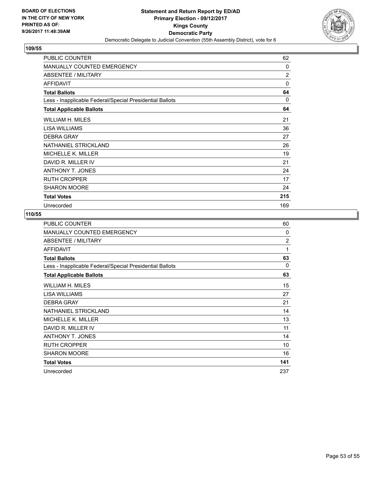

| PUBLIC COUNTER                                           | 62           |
|----------------------------------------------------------|--------------|
| <b>MANUALLY COUNTED EMERGENCY</b>                        | $\mathbf{0}$ |
| <b>ABSENTEE / MILITARY</b>                               | 2            |
| <b>AFFIDAVIT</b>                                         | 0            |
| <b>Total Ballots</b>                                     | 64           |
| Less - Inapplicable Federal/Special Presidential Ballots | 0            |
| <b>Total Applicable Ballots</b>                          | 64           |
| WILLIAM H. MILES                                         | 21           |
| LISA WILLIAMS                                            | 36           |
| <b>DEBRA GRAY</b>                                        | 27           |
| NATHANIEL STRICKLAND                                     | 26           |
| MICHELLE K. MILLER                                       | 19           |
| DAVID R. MILLER IV                                       | 21           |
| <b>ANTHONY T. JONES</b>                                  | 24           |
| <b>RUTH CROPPER</b>                                      | 17           |
| <b>SHARON MOORE</b>                                      | 24           |
| <b>Total Votes</b>                                       | 215          |
| Unrecorded                                               | 169          |

| <b>PUBLIC COUNTER</b>                                    | 60             |
|----------------------------------------------------------|----------------|
| <b>MANUALLY COUNTED EMERGENCY</b>                        | $\Omega$       |
| ABSENTEE / MILITARY                                      | $\overline{2}$ |
| <b>AFFIDAVIT</b>                                         | 1              |
| <b>Total Ballots</b>                                     | 63             |
| Less - Inapplicable Federal/Special Presidential Ballots | $\Omega$       |
| <b>Total Applicable Ballots</b>                          | 63             |
| WILLIAM H. MILES                                         | 15             |
| <b>LISA WILLIAMS</b>                                     | 27             |
| <b>DEBRA GRAY</b>                                        | 21             |
| NATHANIEL STRICKLAND                                     | 14             |
| <b>MICHELLE K. MILLER</b>                                | 13             |
| DAVID R. MILLER IV                                       | 11             |
| <b>ANTHONY T. JONES</b>                                  | 14             |
| <b>RUTH CROPPER</b>                                      | 10             |
| <b>SHARON MOORE</b>                                      | 16             |
| <b>Total Votes</b>                                       | 141            |
| Unrecorded                                               | 237            |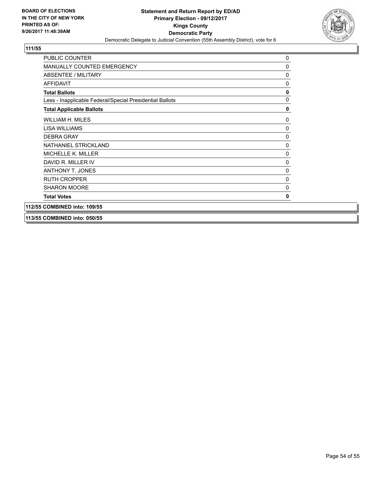

| <b>PUBLIC COUNTER</b>                                    | $\mathbf 0$  |
|----------------------------------------------------------|--------------|
| <b>MANUALLY COUNTED EMERGENCY</b>                        | $\mathbf 0$  |
| ABSENTEE / MILITARY                                      | 0            |
| <b>AFFIDAVIT</b>                                         | 0            |
| <b>Total Ballots</b>                                     | 0            |
| Less - Inapplicable Federal/Special Presidential Ballots | $\mathbf{0}$ |
| <b>Total Applicable Ballots</b>                          | $\mathbf 0$  |
| WILLIAM H. MILES                                         | 0            |
| LISA WILLIAMS                                            | 0            |
| <b>DEBRA GRAY</b>                                        | 0            |
| NATHANIEL STRICKLAND                                     | 0            |
| <b>MICHELLE K. MILLER</b>                                | $\mathbf 0$  |
| DAVID R. MILLER IV                                       | $\mathbf 0$  |
| <b>ANTHONY T. JONES</b>                                  | $\mathbf{0}$ |
| <b>RUTH CROPPER</b>                                      | $\Omega$     |
| <b>SHARON MOORE</b>                                      | 0            |
| <b>Total Votes</b>                                       | 0            |
| 112/55 COMBINED into: 109/55                             |              |

**113/55 COMBINED into: 050/55**